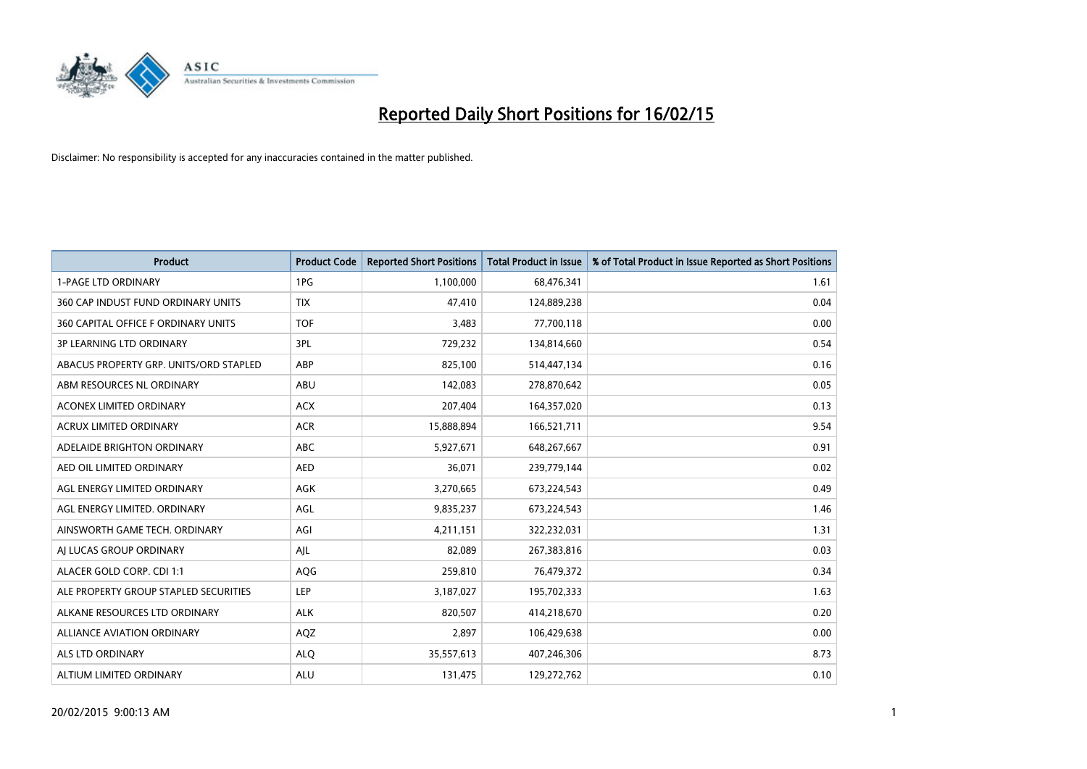

| <b>Product</b>                         | <b>Product Code</b> | <b>Reported Short Positions</b> | <b>Total Product in Issue</b> | % of Total Product in Issue Reported as Short Positions |
|----------------------------------------|---------------------|---------------------------------|-------------------------------|---------------------------------------------------------|
| <b>1-PAGE LTD ORDINARY</b>             | 1PG                 | 1,100,000                       | 68,476,341                    | 1.61                                                    |
| 360 CAP INDUST FUND ORDINARY UNITS     | <b>TIX</b>          | 47,410                          | 124,889,238                   | 0.04                                                    |
| 360 CAPITAL OFFICE F ORDINARY UNITS    | <b>TOF</b>          | 3,483                           | 77,700,118                    | 0.00                                                    |
| <b>3P LEARNING LTD ORDINARY</b>        | 3PL                 | 729,232                         | 134,814,660                   | 0.54                                                    |
| ABACUS PROPERTY GRP. UNITS/ORD STAPLED | ABP                 | 825,100                         | 514,447,134                   | 0.16                                                    |
| ABM RESOURCES NL ORDINARY              | ABU                 | 142,083                         | 278,870,642                   | 0.05                                                    |
| <b>ACONEX LIMITED ORDINARY</b>         | <b>ACX</b>          | 207,404                         | 164,357,020                   | 0.13                                                    |
| ACRUX LIMITED ORDINARY                 | <b>ACR</b>          | 15,888,894                      | 166,521,711                   | 9.54                                                    |
| ADELAIDE BRIGHTON ORDINARY             | <b>ABC</b>          | 5,927,671                       | 648,267,667                   | 0.91                                                    |
| AED OIL LIMITED ORDINARY               | <b>AED</b>          | 36,071                          | 239,779,144                   | 0.02                                                    |
| AGL ENERGY LIMITED ORDINARY            | AGK                 | 3,270,665                       | 673,224,543                   | 0.49                                                    |
| AGL ENERGY LIMITED. ORDINARY           | AGL                 | 9,835,237                       | 673,224,543                   | 1.46                                                    |
| AINSWORTH GAME TECH. ORDINARY          | AGI                 | 4,211,151                       | 322,232,031                   | 1.31                                                    |
| AI LUCAS GROUP ORDINARY                | AJL                 | 82,089                          | 267,383,816                   | 0.03                                                    |
| ALACER GOLD CORP. CDI 1:1              | AQG                 | 259,810                         | 76,479,372                    | 0.34                                                    |
| ALE PROPERTY GROUP STAPLED SECURITIES  | <b>LEP</b>          | 3,187,027                       | 195,702,333                   | 1.63                                                    |
| ALKANE RESOURCES LTD ORDINARY          | <b>ALK</b>          | 820,507                         | 414,218,670                   | 0.20                                                    |
| <b>ALLIANCE AVIATION ORDINARY</b>      | AQZ                 | 2,897                           | 106,429,638                   | 0.00                                                    |
| ALS LTD ORDINARY                       | <b>ALO</b>          | 35,557,613                      | 407,246,306                   | 8.73                                                    |
| ALTIUM LIMITED ORDINARY                | <b>ALU</b>          | 131,475                         | 129,272,762                   | 0.10                                                    |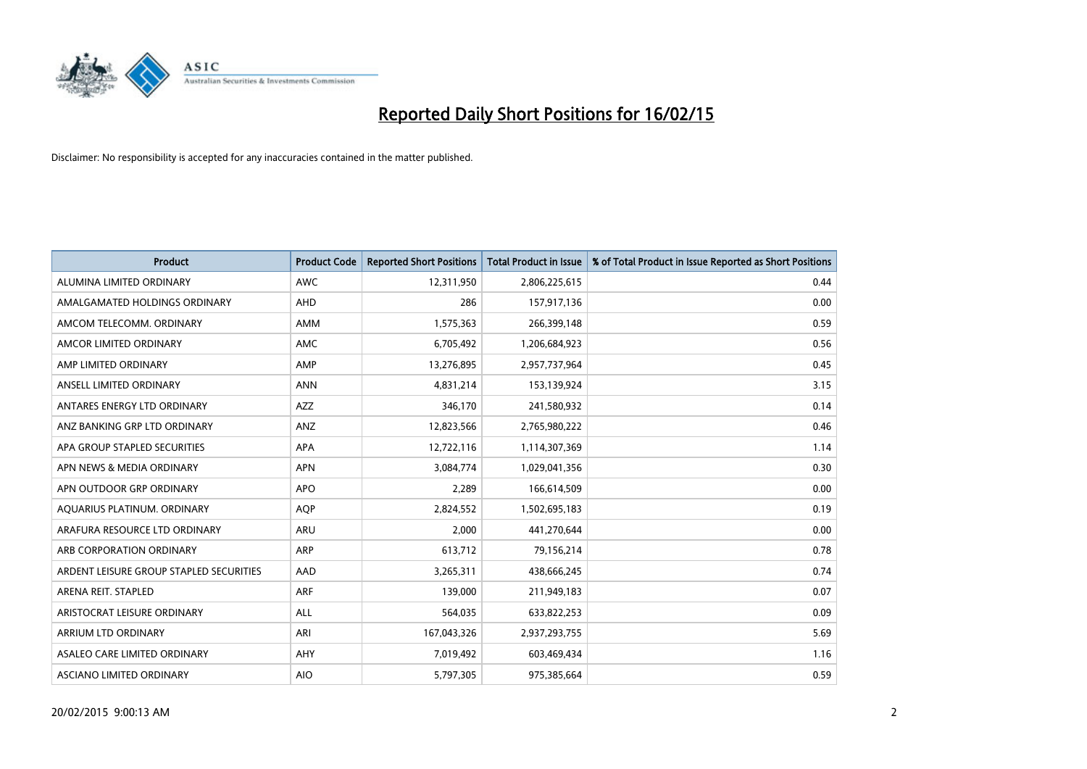

| <b>Product</b>                          | <b>Product Code</b> | <b>Reported Short Positions</b> | <b>Total Product in Issue</b> | % of Total Product in Issue Reported as Short Positions |
|-----------------------------------------|---------------------|---------------------------------|-------------------------------|---------------------------------------------------------|
| ALUMINA LIMITED ORDINARY                | <b>AWC</b>          | 12,311,950                      | 2,806,225,615                 | 0.44                                                    |
| AMALGAMATED HOLDINGS ORDINARY           | <b>AHD</b>          | 286                             | 157,917,136                   | 0.00                                                    |
| AMCOM TELECOMM. ORDINARY                | AMM                 | 1,575,363                       | 266,399,148                   | 0.59                                                    |
| AMCOR LIMITED ORDINARY                  | AMC                 | 6,705,492                       | 1,206,684,923                 | 0.56                                                    |
| AMP LIMITED ORDINARY                    | AMP                 | 13,276,895                      | 2,957,737,964                 | 0.45                                                    |
| ANSELL LIMITED ORDINARY                 | <b>ANN</b>          | 4,831,214                       | 153,139,924                   | 3.15                                                    |
| ANTARES ENERGY LTD ORDINARY             | AZZ                 | 346,170                         | 241,580,932                   | 0.14                                                    |
| ANZ BANKING GRP LTD ORDINARY            | ANZ                 | 12,823,566                      | 2,765,980,222                 | 0.46                                                    |
| APA GROUP STAPLED SECURITIES            | APA                 | 12,722,116                      | 1,114,307,369                 | 1.14                                                    |
| APN NEWS & MEDIA ORDINARY               | <b>APN</b>          | 3,084,774                       | 1,029,041,356                 | 0.30                                                    |
| APN OUTDOOR GRP ORDINARY                | <b>APO</b>          | 2,289                           | 166,614,509                   | 0.00                                                    |
| AQUARIUS PLATINUM. ORDINARY             | <b>AOP</b>          | 2,824,552                       | 1,502,695,183                 | 0.19                                                    |
| ARAFURA RESOURCE LTD ORDINARY           | <b>ARU</b>          | 2,000                           | 441,270,644                   | 0.00                                                    |
| ARB CORPORATION ORDINARY                | <b>ARP</b>          | 613,712                         | 79,156,214                    | 0.78                                                    |
| ARDENT LEISURE GROUP STAPLED SECURITIES | AAD                 | 3,265,311                       | 438,666,245                   | 0.74                                                    |
| ARENA REIT. STAPLED                     | <b>ARF</b>          | 139,000                         | 211,949,183                   | 0.07                                                    |
| ARISTOCRAT LEISURE ORDINARY             | ALL                 | 564,035                         | 633,822,253                   | 0.09                                                    |
| ARRIUM LTD ORDINARY                     | ARI                 | 167,043,326                     | 2,937,293,755                 | 5.69                                                    |
| ASALEO CARE LIMITED ORDINARY            | AHY                 | 7,019,492                       | 603,469,434                   | 1.16                                                    |
| ASCIANO LIMITED ORDINARY                | <b>AIO</b>          | 5,797,305                       | 975,385,664                   | 0.59                                                    |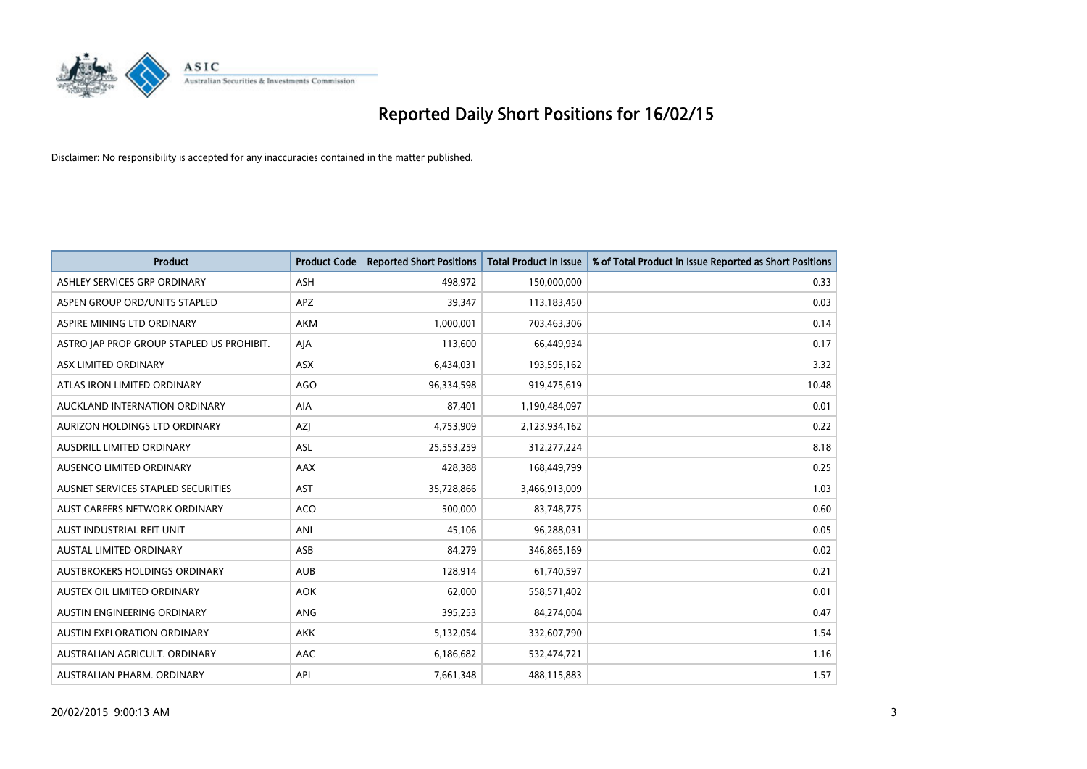

| <b>Product</b>                            | <b>Product Code</b> | <b>Reported Short Positions</b> | <b>Total Product in Issue</b> | % of Total Product in Issue Reported as Short Positions |
|-------------------------------------------|---------------------|---------------------------------|-------------------------------|---------------------------------------------------------|
| ASHLEY SERVICES GRP ORDINARY              | <b>ASH</b>          | 498,972                         | 150,000,000                   | 0.33                                                    |
| ASPEN GROUP ORD/UNITS STAPLED             | <b>APZ</b>          | 39,347                          | 113,183,450                   | 0.03                                                    |
| ASPIRE MINING LTD ORDINARY                | <b>AKM</b>          | 1,000,001                       | 703,463,306                   | 0.14                                                    |
| ASTRO JAP PROP GROUP STAPLED US PROHIBIT. | AJA                 | 113,600                         | 66,449,934                    | 0.17                                                    |
| ASX LIMITED ORDINARY                      | ASX                 | 6,434,031                       | 193,595,162                   | 3.32                                                    |
| ATLAS IRON LIMITED ORDINARY               | <b>AGO</b>          | 96,334,598                      | 919,475,619                   | 10.48                                                   |
| AUCKLAND INTERNATION ORDINARY             | AIA                 | 87,401                          | 1,190,484,097                 | 0.01                                                    |
| AURIZON HOLDINGS LTD ORDINARY             | AZJ                 | 4,753,909                       | 2,123,934,162                 | 0.22                                                    |
| AUSDRILL LIMITED ORDINARY                 | ASL                 | 25,553,259                      | 312,277,224                   | 8.18                                                    |
| AUSENCO LIMITED ORDINARY                  | AAX                 | 428,388                         | 168,449,799                   | 0.25                                                    |
| AUSNET SERVICES STAPLED SECURITIES        | <b>AST</b>          | 35,728,866                      | 3,466,913,009                 | 1.03                                                    |
| AUST CAREERS NETWORK ORDINARY             | <b>ACO</b>          | 500,000                         | 83,748,775                    | 0.60                                                    |
| AUST INDUSTRIAL REIT UNIT                 | ANI                 | 45,106                          | 96,288,031                    | 0.05                                                    |
| <b>AUSTAL LIMITED ORDINARY</b>            | ASB                 | 84,279                          | 346,865,169                   | 0.02                                                    |
| AUSTBROKERS HOLDINGS ORDINARY             | <b>AUB</b>          | 128,914                         | 61,740,597                    | 0.21                                                    |
| AUSTEX OIL LIMITED ORDINARY               | <b>AOK</b>          | 62,000                          | 558,571,402                   | 0.01                                                    |
| AUSTIN ENGINEERING ORDINARY               | ANG                 | 395,253                         | 84,274,004                    | 0.47                                                    |
| AUSTIN EXPLORATION ORDINARY               | <b>AKK</b>          | 5,132,054                       | 332,607,790                   | 1.54                                                    |
| AUSTRALIAN AGRICULT, ORDINARY             | AAC                 | 6,186,682                       | 532,474,721                   | 1.16                                                    |
| AUSTRALIAN PHARM. ORDINARY                | API                 | 7,661,348                       | 488,115,883                   | 1.57                                                    |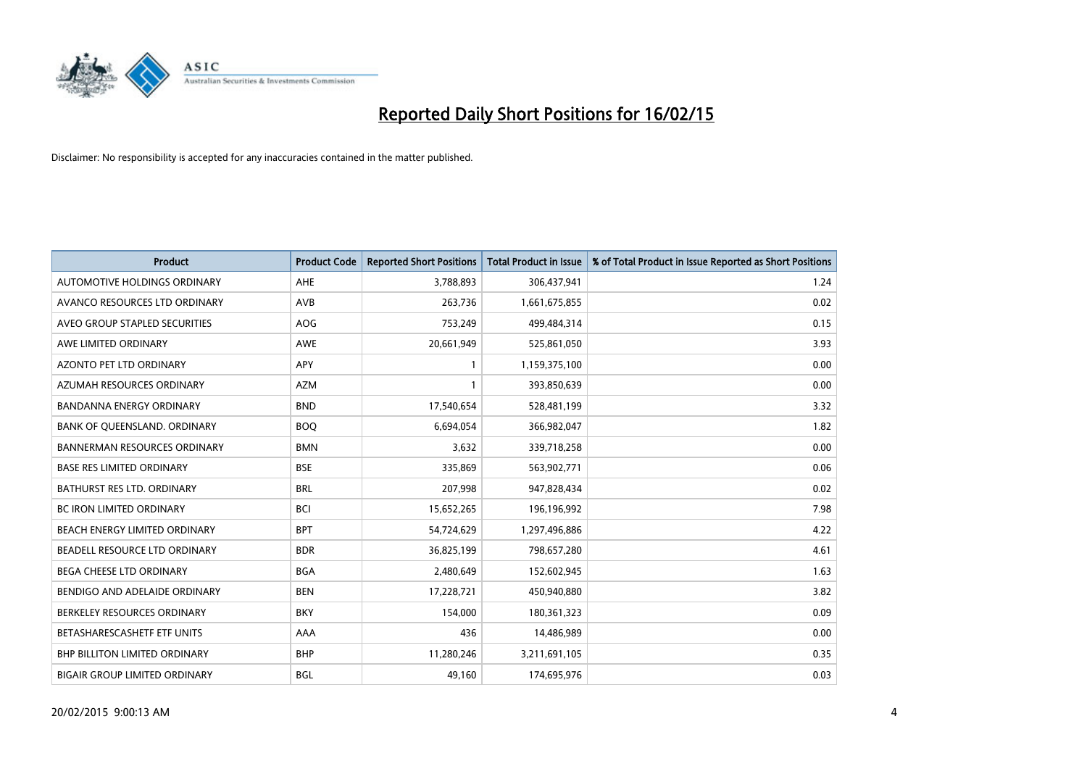

| <b>Product</b>                       | <b>Product Code</b> | <b>Reported Short Positions</b> | <b>Total Product in Issue</b> | % of Total Product in Issue Reported as Short Positions |
|--------------------------------------|---------------------|---------------------------------|-------------------------------|---------------------------------------------------------|
| AUTOMOTIVE HOLDINGS ORDINARY         | AHE                 | 3,788,893                       | 306,437,941                   | 1.24                                                    |
| AVANCO RESOURCES LTD ORDINARY        | AVB                 | 263,736                         | 1,661,675,855                 | 0.02                                                    |
| AVEO GROUP STAPLED SECURITIES        | <b>AOG</b>          | 753,249                         | 499,484,314                   | 0.15                                                    |
| AWE LIMITED ORDINARY                 | <b>AWE</b>          | 20,661,949                      | 525,861,050                   | 3.93                                                    |
| <b>AZONTO PET LTD ORDINARY</b>       | <b>APY</b>          | $\mathbf{1}$                    | 1,159,375,100                 | 0.00                                                    |
| AZUMAH RESOURCES ORDINARY            | <b>AZM</b>          | $\mathbf{1}$                    | 393,850,639                   | 0.00                                                    |
| <b>BANDANNA ENERGY ORDINARY</b>      | <b>BND</b>          | 17,540,654                      | 528,481,199                   | 3.32                                                    |
| BANK OF QUEENSLAND. ORDINARY         | <b>BOQ</b>          | 6,694,054                       | 366,982,047                   | 1.82                                                    |
| <b>BANNERMAN RESOURCES ORDINARY</b>  | <b>BMN</b>          | 3,632                           | 339,718,258                   | 0.00                                                    |
| <b>BASE RES LIMITED ORDINARY</b>     | <b>BSE</b>          | 335,869                         | 563,902,771                   | 0.06                                                    |
| BATHURST RES LTD. ORDINARY           | <b>BRL</b>          | 207,998                         | 947,828,434                   | 0.02                                                    |
| <b>BC IRON LIMITED ORDINARY</b>      | <b>BCI</b>          | 15,652,265                      | 196,196,992                   | 7.98                                                    |
| BEACH ENERGY LIMITED ORDINARY        | <b>BPT</b>          | 54,724,629                      | 1,297,496,886                 | 4.22                                                    |
| BEADELL RESOURCE LTD ORDINARY        | <b>BDR</b>          | 36,825,199                      | 798,657,280                   | 4.61                                                    |
| <b>BEGA CHEESE LTD ORDINARY</b>      | <b>BGA</b>          | 2,480,649                       | 152,602,945                   | 1.63                                                    |
| BENDIGO AND ADELAIDE ORDINARY        | <b>BEN</b>          | 17,228,721                      | 450,940,880                   | 3.82                                                    |
| BERKELEY RESOURCES ORDINARY          | <b>BKY</b>          | 154,000                         | 180,361,323                   | 0.09                                                    |
| BETASHARESCASHETF ETF UNITS          | AAA                 | 436                             | 14,486,989                    | 0.00                                                    |
| <b>BHP BILLITON LIMITED ORDINARY</b> | <b>BHP</b>          | 11,280,246                      | 3,211,691,105                 | 0.35                                                    |
| <b>BIGAIR GROUP LIMITED ORDINARY</b> | <b>BGL</b>          | 49,160                          | 174,695,976                   | 0.03                                                    |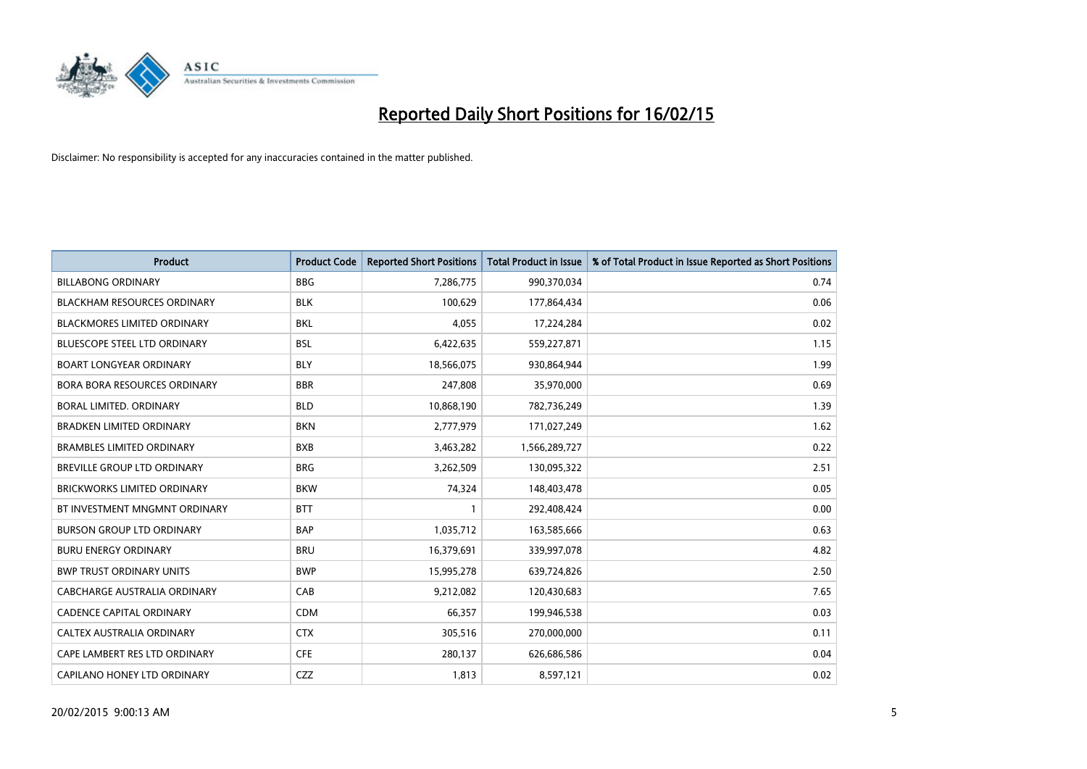

| <b>Product</b>                      | <b>Product Code</b> | <b>Reported Short Positions</b> | <b>Total Product in Issue</b> | % of Total Product in Issue Reported as Short Positions |
|-------------------------------------|---------------------|---------------------------------|-------------------------------|---------------------------------------------------------|
| <b>BILLABONG ORDINARY</b>           | <b>BBG</b>          | 7,286,775                       | 990,370,034                   | 0.74                                                    |
| <b>BLACKHAM RESOURCES ORDINARY</b>  | <b>BLK</b>          | 100,629                         | 177,864,434                   | 0.06                                                    |
| <b>BLACKMORES LIMITED ORDINARY</b>  | <b>BKL</b>          | 4,055                           | 17,224,284                    | 0.02                                                    |
| BLUESCOPE STEEL LTD ORDINARY        | <b>BSL</b>          | 6,422,635                       | 559,227,871                   | 1.15                                                    |
| <b>BOART LONGYEAR ORDINARY</b>      | <b>BLY</b>          | 18,566,075                      | 930,864,944                   | 1.99                                                    |
| <b>BORA BORA RESOURCES ORDINARY</b> | <b>BBR</b>          | 247,808                         | 35,970,000                    | 0.69                                                    |
| BORAL LIMITED, ORDINARY             | <b>BLD</b>          | 10,868,190                      | 782,736,249                   | 1.39                                                    |
| <b>BRADKEN LIMITED ORDINARY</b>     | <b>BKN</b>          | 2,777,979                       | 171,027,249                   | 1.62                                                    |
| <b>BRAMBLES LIMITED ORDINARY</b>    | <b>BXB</b>          | 3,463,282                       | 1,566,289,727                 | 0.22                                                    |
| <b>BREVILLE GROUP LTD ORDINARY</b>  | <b>BRG</b>          | 3,262,509                       | 130,095,322                   | 2.51                                                    |
| BRICKWORKS LIMITED ORDINARY         | <b>BKW</b>          | 74,324                          | 148,403,478                   | 0.05                                                    |
| BT INVESTMENT MNGMNT ORDINARY       | <b>BTT</b>          | $\mathbf{1}$                    | 292,408,424                   | 0.00                                                    |
| <b>BURSON GROUP LTD ORDINARY</b>    | <b>BAP</b>          | 1,035,712                       | 163,585,666                   | 0.63                                                    |
| <b>BURU ENERGY ORDINARY</b>         | <b>BRU</b>          | 16,379,691                      | 339,997,078                   | 4.82                                                    |
| <b>BWP TRUST ORDINARY UNITS</b>     | <b>BWP</b>          | 15,995,278                      | 639,724,826                   | 2.50                                                    |
| CABCHARGE AUSTRALIA ORDINARY        | CAB                 | 9,212,082                       | 120,430,683                   | 7.65                                                    |
| <b>CADENCE CAPITAL ORDINARY</b>     | <b>CDM</b>          | 66,357                          | 199,946,538                   | 0.03                                                    |
| CALTEX AUSTRALIA ORDINARY           | <b>CTX</b>          | 305,516                         | 270,000,000                   | 0.11                                                    |
| CAPE LAMBERT RES LTD ORDINARY       | <b>CFE</b>          | 280,137                         | 626,686,586                   | 0.04                                                    |
| CAPILANO HONEY LTD ORDINARY         | CZZ                 | 1,813                           | 8,597,121                     | 0.02                                                    |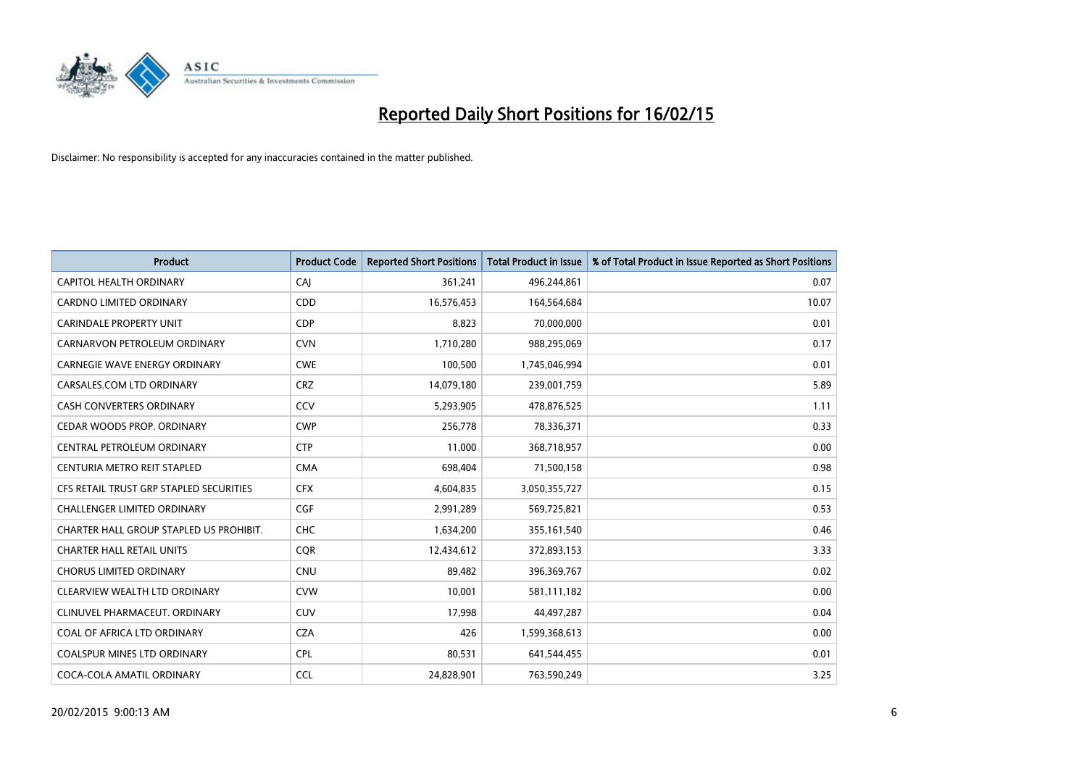

| <b>Product</b>                          | <b>Product Code</b> | <b>Reported Short Positions</b> | <b>Total Product in Issue</b> | % of Total Product in Issue Reported as Short Positions |
|-----------------------------------------|---------------------|---------------------------------|-------------------------------|---------------------------------------------------------|
| <b>CAPITOL HEALTH ORDINARY</b>          | CAJ                 | 361,241                         | 496,244,861                   | 0.07                                                    |
| CARDNO LIMITED ORDINARY                 | <b>CDD</b>          | 16,576,453                      | 164,564,684                   | 10.07                                                   |
| <b>CARINDALE PROPERTY UNIT</b>          | <b>CDP</b>          | 8,823                           | 70,000,000                    | 0.01                                                    |
| CARNARVON PETROLEUM ORDINARY            | <b>CVN</b>          | 1,710,280                       | 988,295,069                   | 0.17                                                    |
| <b>CARNEGIE WAVE ENERGY ORDINARY</b>    | <b>CWE</b>          | 100,500                         | 1,745,046,994                 | 0.01                                                    |
| CARSALES.COM LTD ORDINARY               | <b>CRZ</b>          | 14,079,180                      | 239,001,759                   | 5.89                                                    |
| CASH CONVERTERS ORDINARY                | CCV                 | 5,293,905                       | 478,876,525                   | 1.11                                                    |
| CEDAR WOODS PROP. ORDINARY              | <b>CWP</b>          | 256,778                         | 78,336,371                    | 0.33                                                    |
| CENTRAL PETROLEUM ORDINARY              | <b>CTP</b>          | 11.000                          | 368,718,957                   | 0.00                                                    |
| CENTURIA METRO REIT STAPLED             | <b>CMA</b>          | 698,404                         | 71,500,158                    | 0.98                                                    |
| CFS RETAIL TRUST GRP STAPLED SECURITIES | <b>CFX</b>          | 4,604,835                       | 3,050,355,727                 | 0.15                                                    |
| <b>CHALLENGER LIMITED ORDINARY</b>      | <b>CGF</b>          | 2,991,289                       | 569,725,821                   | 0.53                                                    |
| CHARTER HALL GROUP STAPLED US PROHIBIT. | <b>CHC</b>          | 1,634,200                       | 355,161,540                   | 0.46                                                    |
| <b>CHARTER HALL RETAIL UNITS</b>        | <b>COR</b>          | 12,434,612                      | 372,893,153                   | 3.33                                                    |
| <b>CHORUS LIMITED ORDINARY</b>          | CNU                 | 89,482                          | 396,369,767                   | 0.02                                                    |
| CLEARVIEW WEALTH LTD ORDINARY           | <b>CVW</b>          | 10,001                          | 581,111,182                   | 0.00                                                    |
| CLINUVEL PHARMACEUT. ORDINARY           | <b>CUV</b>          | 17,998                          | 44,497,287                    | 0.04                                                    |
| COAL OF AFRICA LTD ORDINARY             | <b>CZA</b>          | 426                             | 1,599,368,613                 | 0.00                                                    |
| <b>COALSPUR MINES LTD ORDINARY</b>      | <b>CPL</b>          | 80,531                          | 641,544,455                   | 0.01                                                    |
| COCA-COLA AMATIL ORDINARY               | <b>CCL</b>          | 24,828,901                      | 763,590,249                   | 3.25                                                    |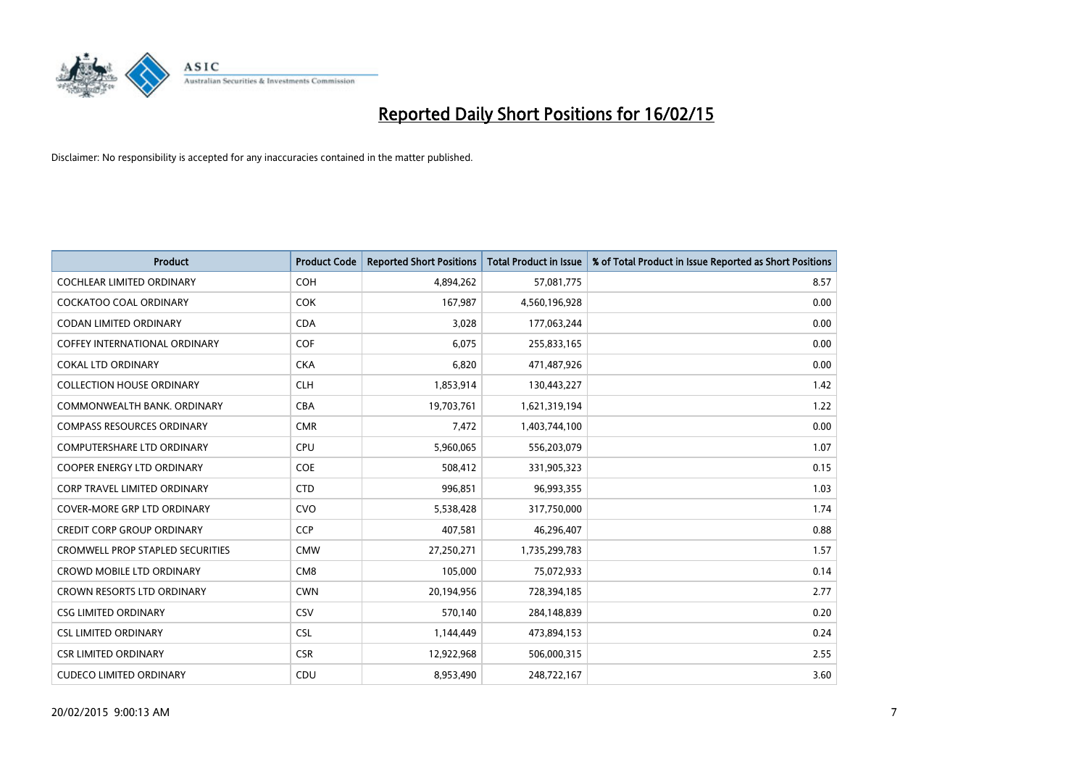

| <b>Product</b>                          | <b>Product Code</b> | <b>Reported Short Positions</b> | <b>Total Product in Issue</b> | % of Total Product in Issue Reported as Short Positions |
|-----------------------------------------|---------------------|---------------------------------|-------------------------------|---------------------------------------------------------|
| <b>COCHLEAR LIMITED ORDINARY</b>        | <b>COH</b>          | 4,894,262                       | 57,081,775                    | 8.57                                                    |
| COCKATOO COAL ORDINARY                  | <b>COK</b>          | 167,987                         | 4,560,196,928                 | 0.00                                                    |
| <b>CODAN LIMITED ORDINARY</b>           | <b>CDA</b>          | 3,028                           | 177,063,244                   | 0.00                                                    |
| <b>COFFEY INTERNATIONAL ORDINARY</b>    | <b>COF</b>          | 6,075                           | 255,833,165                   | 0.00                                                    |
| <b>COKAL LTD ORDINARY</b>               | <b>CKA</b>          | 6,820                           | 471,487,926                   | 0.00                                                    |
| <b>COLLECTION HOUSE ORDINARY</b>        | <b>CLH</b>          | 1,853,914                       | 130,443,227                   | 1.42                                                    |
| COMMONWEALTH BANK, ORDINARY             | <b>CBA</b>          | 19,703,761                      | 1,621,319,194                 | 1.22                                                    |
| <b>COMPASS RESOURCES ORDINARY</b>       | <b>CMR</b>          | 7,472                           | 1,403,744,100                 | 0.00                                                    |
| <b>COMPUTERSHARE LTD ORDINARY</b>       | <b>CPU</b>          | 5,960,065                       | 556,203,079                   | 1.07                                                    |
| <b>COOPER ENERGY LTD ORDINARY</b>       | <b>COE</b>          | 508,412                         | 331,905,323                   | 0.15                                                    |
| <b>CORP TRAVEL LIMITED ORDINARY</b>     | <b>CTD</b>          | 996,851                         | 96,993,355                    | 1.03                                                    |
| <b>COVER-MORE GRP LTD ORDINARY</b>      | <b>CVO</b>          | 5,538,428                       | 317,750,000                   | 1.74                                                    |
| <b>CREDIT CORP GROUP ORDINARY</b>       | <b>CCP</b>          | 407,581                         | 46,296,407                    | 0.88                                                    |
| <b>CROMWELL PROP STAPLED SECURITIES</b> | <b>CMW</b>          | 27,250,271                      | 1,735,299,783                 | 1.57                                                    |
| <b>CROWD MOBILE LTD ORDINARY</b>        | CM <sub>8</sub>     | 105,000                         | 75,072,933                    | 0.14                                                    |
| <b>CROWN RESORTS LTD ORDINARY</b>       | <b>CWN</b>          | 20,194,956                      | 728,394,185                   | 2.77                                                    |
| <b>CSG LIMITED ORDINARY</b>             | CSV                 | 570,140                         | 284,148,839                   | 0.20                                                    |
| <b>CSL LIMITED ORDINARY</b>             | <b>CSL</b>          | 1,144,449                       | 473,894,153                   | 0.24                                                    |
| <b>CSR LIMITED ORDINARY</b>             | <b>CSR</b>          | 12,922,968                      | 506,000,315                   | 2.55                                                    |
| <b>CUDECO LIMITED ORDINARY</b>          | CDU                 | 8,953,490                       | 248,722,167                   | 3.60                                                    |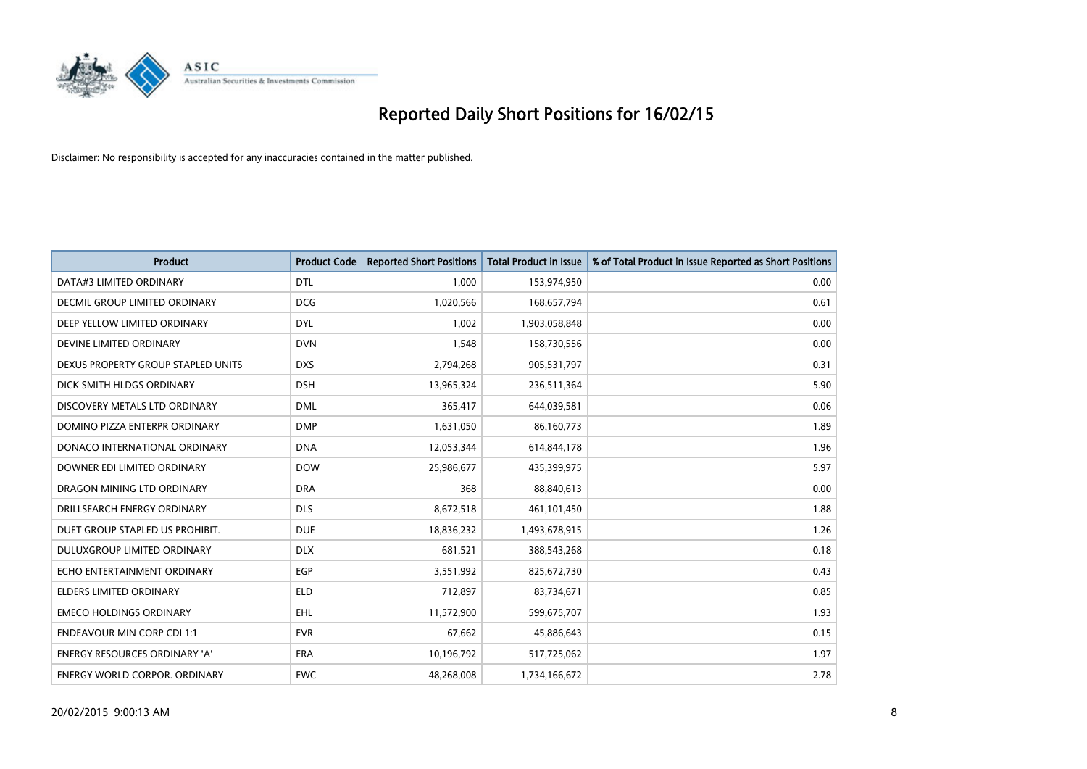

| <b>Product</b>                       | <b>Product Code</b> | <b>Reported Short Positions</b> | <b>Total Product in Issue</b> | % of Total Product in Issue Reported as Short Positions |
|--------------------------------------|---------------------|---------------------------------|-------------------------------|---------------------------------------------------------|
| DATA#3 LIMITED ORDINARY              | <b>DTL</b>          | 1,000                           | 153,974,950                   | 0.00                                                    |
| DECMIL GROUP LIMITED ORDINARY        | <b>DCG</b>          | 1,020,566                       | 168,657,794                   | 0.61                                                    |
| DEEP YELLOW LIMITED ORDINARY         | <b>DYL</b>          | 1,002                           | 1,903,058,848                 | 0.00                                                    |
| DEVINE LIMITED ORDINARY              | <b>DVN</b>          | 1,548                           | 158,730,556                   | 0.00                                                    |
| DEXUS PROPERTY GROUP STAPLED UNITS   | <b>DXS</b>          | 2,794,268                       | 905,531,797                   | 0.31                                                    |
| DICK SMITH HLDGS ORDINARY            | <b>DSH</b>          | 13,965,324                      | 236,511,364                   | 5.90                                                    |
| DISCOVERY METALS LTD ORDINARY        | <b>DML</b>          | 365,417                         | 644,039,581                   | 0.06                                                    |
| DOMINO PIZZA ENTERPR ORDINARY        | <b>DMP</b>          | 1,631,050                       | 86,160,773                    | 1.89                                                    |
| DONACO INTERNATIONAL ORDINARY        | <b>DNA</b>          | 12,053,344                      | 614,844,178                   | 1.96                                                    |
| DOWNER EDI LIMITED ORDINARY          | <b>DOW</b>          | 25,986,677                      | 435,399,975                   | 5.97                                                    |
| DRAGON MINING LTD ORDINARY           | <b>DRA</b>          | 368                             | 88,840,613                    | 0.00                                                    |
| DRILLSEARCH ENERGY ORDINARY          | <b>DLS</b>          | 8,672,518                       | 461,101,450                   | 1.88                                                    |
| DUET GROUP STAPLED US PROHIBIT.      | <b>DUE</b>          | 18,836,232                      | 1,493,678,915                 | 1.26                                                    |
| DULUXGROUP LIMITED ORDINARY          | <b>DLX</b>          | 681,521                         | 388,543,268                   | 0.18                                                    |
| ECHO ENTERTAINMENT ORDINARY          | EGP                 | 3,551,992                       | 825,672,730                   | 0.43                                                    |
| ELDERS LIMITED ORDINARY              | <b>ELD</b>          | 712,897                         | 83,734,671                    | 0.85                                                    |
| <b>EMECO HOLDINGS ORDINARY</b>       | <b>EHL</b>          | 11,572,900                      | 599,675,707                   | 1.93                                                    |
| <b>ENDEAVOUR MIN CORP CDI 1:1</b>    | <b>EVR</b>          | 67,662                          | 45,886,643                    | 0.15                                                    |
| <b>ENERGY RESOURCES ORDINARY 'A'</b> | <b>ERA</b>          | 10,196,792                      | 517,725,062                   | 1.97                                                    |
| ENERGY WORLD CORPOR. ORDINARY        | <b>EWC</b>          | 48,268,008                      | 1,734,166,672                 | 2.78                                                    |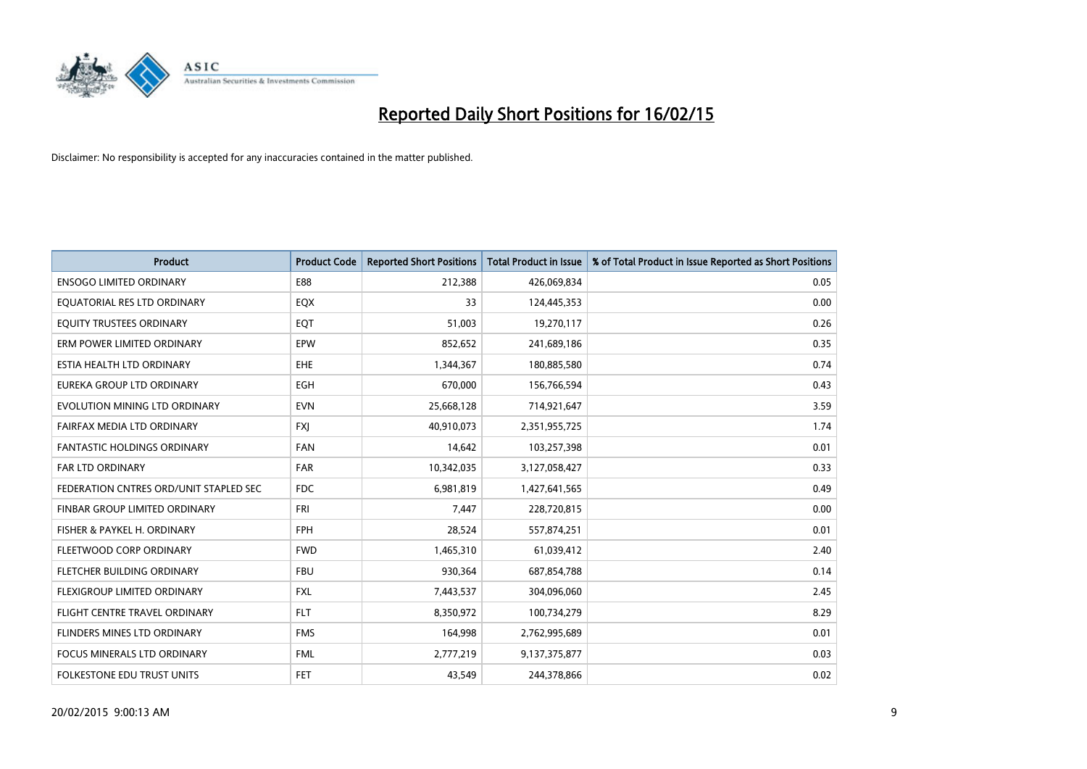

| <b>Product</b>                         | <b>Product Code</b> | <b>Reported Short Positions</b> | <b>Total Product in Issue</b> | % of Total Product in Issue Reported as Short Positions |
|----------------------------------------|---------------------|---------------------------------|-------------------------------|---------------------------------------------------------|
| <b>ENSOGO LIMITED ORDINARY</b>         | E88                 | 212,388                         | 426,069,834                   | 0.05                                                    |
| EQUATORIAL RES LTD ORDINARY            | EQX                 | 33                              | 124,445,353                   | 0.00                                                    |
| EQUITY TRUSTEES ORDINARY               | EQT                 | 51,003                          | 19,270,117                    | 0.26                                                    |
| ERM POWER LIMITED ORDINARY             | EPW                 | 852,652                         | 241,689,186                   | 0.35                                                    |
| ESTIA HEALTH LTD ORDINARY              | <b>EHE</b>          | 1,344,367                       | 180,885,580                   | 0.74                                                    |
| EUREKA GROUP LTD ORDINARY              | <b>EGH</b>          | 670,000                         | 156,766,594                   | 0.43                                                    |
| EVOLUTION MINING LTD ORDINARY          | <b>EVN</b>          | 25,668,128                      | 714,921,647                   | 3.59                                                    |
| FAIRFAX MEDIA LTD ORDINARY             | <b>FXJ</b>          | 40,910,073                      | 2,351,955,725                 | 1.74                                                    |
| <b>FANTASTIC HOLDINGS ORDINARY</b>     | <b>FAN</b>          | 14,642                          | 103,257,398                   | 0.01                                                    |
| <b>FAR LTD ORDINARY</b>                | <b>FAR</b>          | 10,342,035                      | 3,127,058,427                 | 0.33                                                    |
| FEDERATION CNTRES ORD/UNIT STAPLED SEC | <b>FDC</b>          | 6,981,819                       | 1,427,641,565                 | 0.49                                                    |
| <b>FINBAR GROUP LIMITED ORDINARY</b>   | <b>FRI</b>          | 7,447                           | 228,720,815                   | 0.00                                                    |
| FISHER & PAYKEL H. ORDINARY            | <b>FPH</b>          | 28,524                          | 557,874,251                   | 0.01                                                    |
| FLEETWOOD CORP ORDINARY                | <b>FWD</b>          | 1,465,310                       | 61,039,412                    | 2.40                                                    |
| FLETCHER BUILDING ORDINARY             | <b>FBU</b>          | 930,364                         | 687,854,788                   | 0.14                                                    |
| FLEXIGROUP LIMITED ORDINARY            | <b>FXL</b>          | 7,443,537                       | 304,096,060                   | 2.45                                                    |
| FLIGHT CENTRE TRAVEL ORDINARY          | <b>FLT</b>          | 8,350,972                       | 100,734,279                   | 8.29                                                    |
| FLINDERS MINES LTD ORDINARY            | <b>FMS</b>          | 164,998                         | 2,762,995,689                 | 0.01                                                    |
| <b>FOCUS MINERALS LTD ORDINARY</b>     | <b>FML</b>          | 2,777,219                       | 9,137,375,877                 | 0.03                                                    |
| FOLKESTONE EDU TRUST UNITS             | <b>FET</b>          | 43,549                          | 244,378,866                   | 0.02                                                    |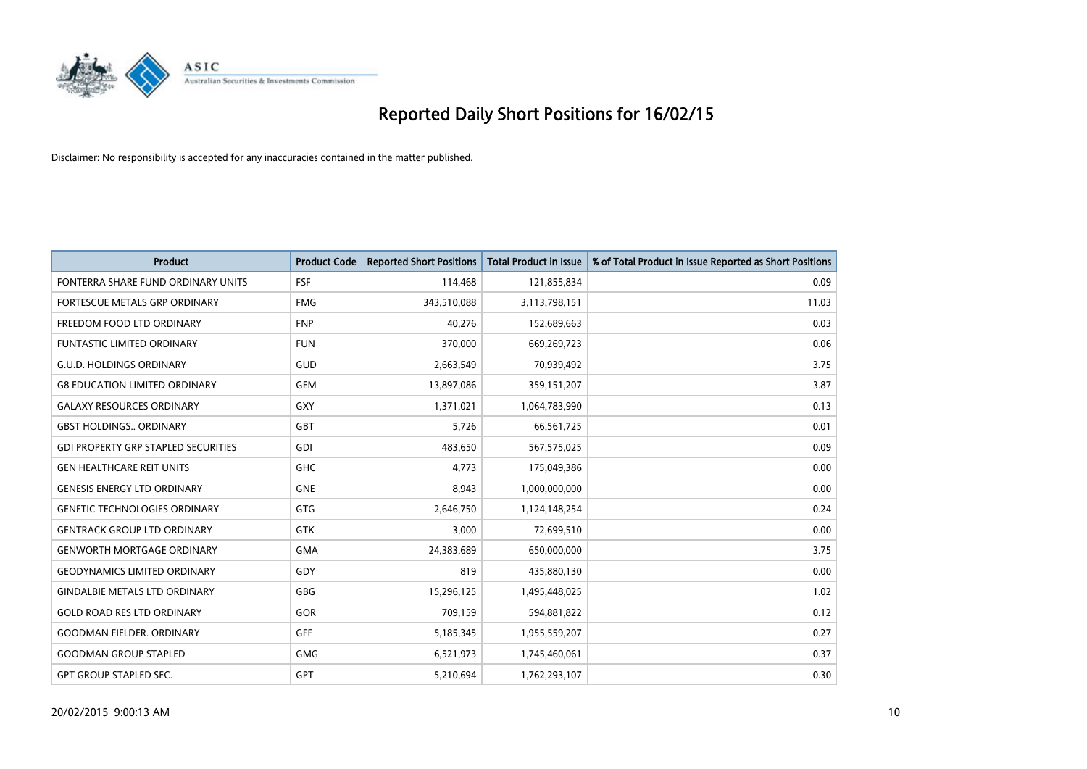

| <b>Product</b>                             | <b>Product Code</b> | <b>Reported Short Positions</b> | <b>Total Product in Issue</b> | % of Total Product in Issue Reported as Short Positions |
|--------------------------------------------|---------------------|---------------------------------|-------------------------------|---------------------------------------------------------|
| FONTERRA SHARE FUND ORDINARY UNITS         | <b>FSF</b>          | 114,468                         | 121,855,834                   | 0.09                                                    |
| FORTESCUE METALS GRP ORDINARY              | <b>FMG</b>          | 343,510,088                     | 3,113,798,151                 | 11.03                                                   |
| FREEDOM FOOD LTD ORDINARY                  | <b>FNP</b>          | 40,276                          | 152,689,663                   | 0.03                                                    |
| FUNTASTIC LIMITED ORDINARY                 | <b>FUN</b>          | 370,000                         | 669,269,723                   | 0.06                                                    |
| <b>G.U.D. HOLDINGS ORDINARY</b>            | GUD                 | 2,663,549                       | 70,939,492                    | 3.75                                                    |
| <b>G8 EDUCATION LIMITED ORDINARY</b>       | <b>GEM</b>          | 13,897,086                      | 359,151,207                   | 3.87                                                    |
| <b>GALAXY RESOURCES ORDINARY</b>           | <b>GXY</b>          | 1,371,021                       | 1,064,783,990                 | 0.13                                                    |
| <b>GBST HOLDINGS ORDINARY</b>              | <b>GBT</b>          | 5,726                           | 66,561,725                    | 0.01                                                    |
| <b>GDI PROPERTY GRP STAPLED SECURITIES</b> | GDI                 | 483.650                         | 567,575,025                   | 0.09                                                    |
| <b>GEN HEALTHCARE REIT UNITS</b>           | <b>GHC</b>          | 4,773                           | 175,049,386                   | 0.00                                                    |
| <b>GENESIS ENERGY LTD ORDINARY</b>         | <b>GNE</b>          | 8,943                           | 1,000,000,000                 | 0.00                                                    |
| <b>GENETIC TECHNOLOGIES ORDINARY</b>       | GTG                 | 2,646,750                       | 1,124,148,254                 | 0.24                                                    |
| <b>GENTRACK GROUP LTD ORDINARY</b>         | <b>GTK</b>          | 3,000                           | 72,699,510                    | 0.00                                                    |
| <b>GENWORTH MORTGAGE ORDINARY</b>          | <b>GMA</b>          | 24,383,689                      | 650,000,000                   | 3.75                                                    |
| <b>GEODYNAMICS LIMITED ORDINARY</b>        | GDY                 | 819                             | 435,880,130                   | 0.00                                                    |
| <b>GINDALBIE METALS LTD ORDINARY</b>       | GBG                 | 15,296,125                      | 1,495,448,025                 | 1.02                                                    |
| <b>GOLD ROAD RES LTD ORDINARY</b>          | GOR                 | 709,159                         | 594,881,822                   | 0.12                                                    |
| <b>GOODMAN FIELDER. ORDINARY</b>           | <b>GFF</b>          | 5,185,345                       | 1,955,559,207                 | 0.27                                                    |
| <b>GOODMAN GROUP STAPLED</b>               | <b>GMG</b>          | 6,521,973                       | 1,745,460,061                 | 0.37                                                    |
| <b>GPT GROUP STAPLED SEC.</b>              | GPT                 | 5,210,694                       | 1,762,293,107                 | 0.30                                                    |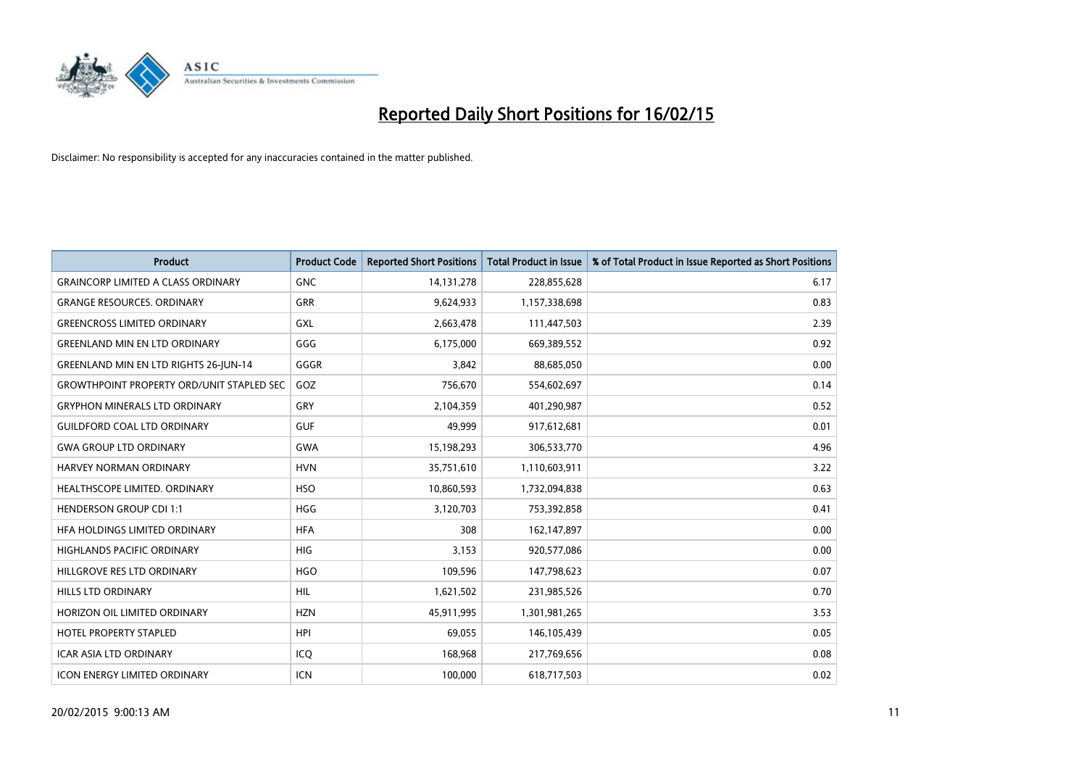

| <b>Product</b>                                   | <b>Product Code</b> | <b>Reported Short Positions</b> | <b>Total Product in Issue</b> | % of Total Product in Issue Reported as Short Positions |
|--------------------------------------------------|---------------------|---------------------------------|-------------------------------|---------------------------------------------------------|
| <b>GRAINCORP LIMITED A CLASS ORDINARY</b>        | <b>GNC</b>          | 14, 131, 278                    | 228,855,628                   | 6.17                                                    |
| <b>GRANGE RESOURCES. ORDINARY</b>                | GRR                 | 9,624,933                       | 1,157,338,698                 | 0.83                                                    |
| <b>GREENCROSS LIMITED ORDINARY</b>               | <b>GXL</b>          | 2,663,478                       | 111,447,503                   | 2.39                                                    |
| <b>GREENLAND MIN EN LTD ORDINARY</b>             | GGG                 | 6,175,000                       | 669,389,552                   | 0.92                                                    |
| <b>GREENLAND MIN EN LTD RIGHTS 26-JUN-14</b>     | GGGR                | 3,842                           | 88,685,050                    | 0.00                                                    |
| <b>GROWTHPOINT PROPERTY ORD/UNIT STAPLED SEC</b> | GOZ                 | 756,670                         | 554,602,697                   | 0.14                                                    |
| <b>GRYPHON MINERALS LTD ORDINARY</b>             | <b>GRY</b>          | 2,104,359                       | 401,290,987                   | 0.52                                                    |
| <b>GUILDFORD COAL LTD ORDINARY</b>               | <b>GUF</b>          | 49,999                          | 917,612,681                   | 0.01                                                    |
| <b>GWA GROUP LTD ORDINARY</b>                    | <b>GWA</b>          | 15,198,293                      | 306,533,770                   | 4.96                                                    |
| <b>HARVEY NORMAN ORDINARY</b>                    | <b>HVN</b>          | 35,751,610                      | 1,110,603,911                 | 3.22                                                    |
| HEALTHSCOPE LIMITED. ORDINARY                    | <b>HSO</b>          | 10,860,593                      | 1,732,094,838                 | 0.63                                                    |
| <b>HENDERSON GROUP CDI 1:1</b>                   | <b>HGG</b>          | 3,120,703                       | 753,392,858                   | 0.41                                                    |
| HFA HOLDINGS LIMITED ORDINARY                    | <b>HFA</b>          | 308                             | 162,147,897                   | 0.00                                                    |
| HIGHLANDS PACIFIC ORDINARY                       | HIG                 | 3,153                           | 920,577,086                   | 0.00                                                    |
| HILLGROVE RES LTD ORDINARY                       | <b>HGO</b>          | 109,596                         | 147,798,623                   | 0.07                                                    |
| <b>HILLS LTD ORDINARY</b>                        | <b>HIL</b>          | 1,621,502                       | 231,985,526                   | 0.70                                                    |
| HORIZON OIL LIMITED ORDINARY                     | <b>HZN</b>          | 45,911,995                      | 1,301,981,265                 | 3.53                                                    |
| HOTEL PROPERTY STAPLED                           | <b>HPI</b>          | 69,055                          | 146,105,439                   | 0.05                                                    |
| <b>ICAR ASIA LTD ORDINARY</b>                    | ICO                 | 168,968                         | 217,769,656                   | 0.08                                                    |
| <b>ICON ENERGY LIMITED ORDINARY</b>              | <b>ICN</b>          | 100,000                         | 618,717,503                   | 0.02                                                    |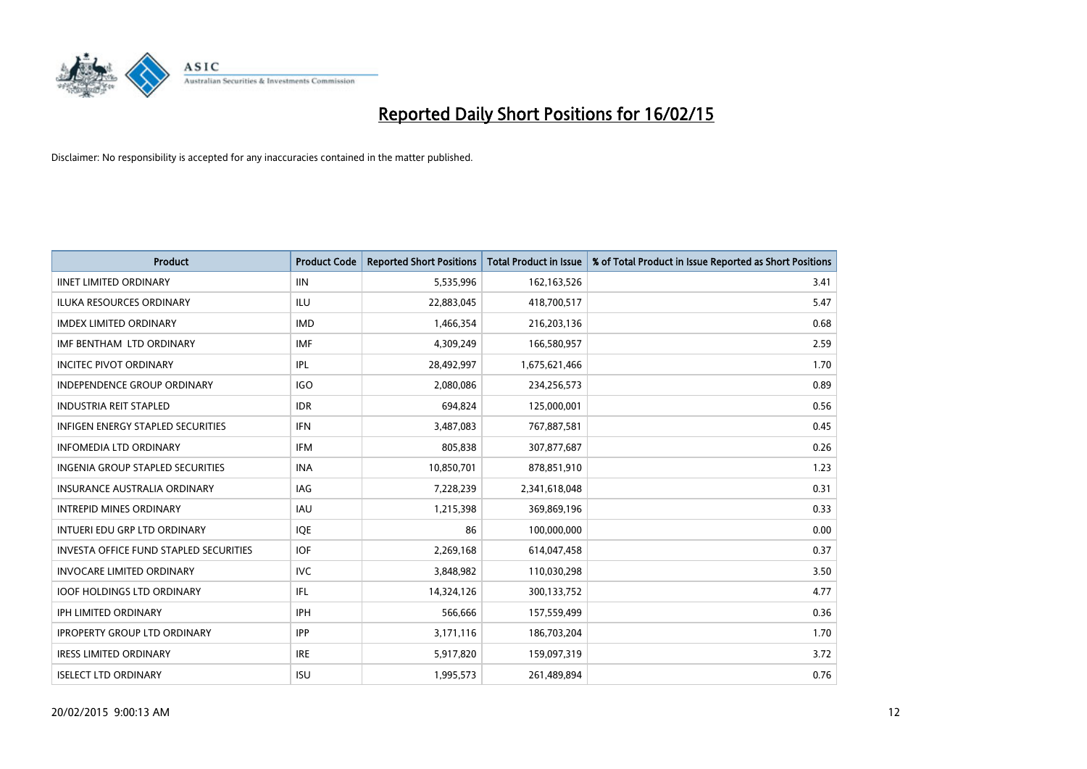

| <b>Product</b>                                | <b>Product Code</b> | <b>Reported Short Positions</b> | <b>Total Product in Issue</b> | % of Total Product in Issue Reported as Short Positions |
|-----------------------------------------------|---------------------|---------------------------------|-------------------------------|---------------------------------------------------------|
| <b>IINET LIMITED ORDINARY</b>                 | <b>IIN</b>          | 5,535,996                       | 162, 163, 526                 | 3.41                                                    |
| ILUKA RESOURCES ORDINARY                      | ILU                 | 22,883,045                      | 418,700,517                   | 5.47                                                    |
| <b>IMDEX LIMITED ORDINARY</b>                 | <b>IMD</b>          | 1,466,354                       | 216,203,136                   | 0.68                                                    |
| IMF BENTHAM LTD ORDINARY                      | <b>IMF</b>          | 4,309,249                       | 166,580,957                   | 2.59                                                    |
| <b>INCITEC PIVOT ORDINARY</b>                 | IPL                 | 28,492,997                      | 1,675,621,466                 | 1.70                                                    |
| <b>INDEPENDENCE GROUP ORDINARY</b>            | <b>IGO</b>          | 2,080,086                       | 234,256,573                   | 0.89                                                    |
| <b>INDUSTRIA REIT STAPLED</b>                 | <b>IDR</b>          | 694,824                         | 125,000,001                   | 0.56                                                    |
| <b>INFIGEN ENERGY STAPLED SECURITIES</b>      | <b>IFN</b>          | 3,487,083                       | 767,887,581                   | 0.45                                                    |
| <b>INFOMEDIA LTD ORDINARY</b>                 | <b>IFM</b>          | 805,838                         | 307,877,687                   | 0.26                                                    |
| INGENIA GROUP STAPLED SECURITIES              | <b>INA</b>          | 10,850,701                      | 878,851,910                   | 1.23                                                    |
| <b>INSURANCE AUSTRALIA ORDINARY</b>           | IAG                 | 7,228,239                       | 2,341,618,048                 | 0.31                                                    |
| <b>INTREPID MINES ORDINARY</b>                | IAU                 | 1,215,398                       | 369,869,196                   | 0.33                                                    |
| INTUERI EDU GRP LTD ORDINARY                  | IQE                 | 86                              | 100,000,000                   | 0.00                                                    |
| <b>INVESTA OFFICE FUND STAPLED SECURITIES</b> | <b>IOF</b>          | 2,269,168                       | 614,047,458                   | 0.37                                                    |
| <b>INVOCARE LIMITED ORDINARY</b>              | <b>IVC</b>          | 3,848,982                       | 110,030,298                   | 3.50                                                    |
| <b>IOOF HOLDINGS LTD ORDINARY</b>             | IFL                 | 14,324,126                      | 300,133,752                   | 4.77                                                    |
| <b>IPH LIMITED ORDINARY</b>                   | <b>IPH</b>          | 566,666                         | 157,559,499                   | 0.36                                                    |
| <b>IPROPERTY GROUP LTD ORDINARY</b>           | <b>IPP</b>          | 3,171,116                       | 186,703,204                   | 1.70                                                    |
| <b>IRESS LIMITED ORDINARY</b>                 | <b>IRE</b>          | 5,917,820                       | 159,097,319                   | 3.72                                                    |
| <b>ISELECT LTD ORDINARY</b>                   | <b>ISU</b>          | 1,995,573                       | 261,489,894                   | 0.76                                                    |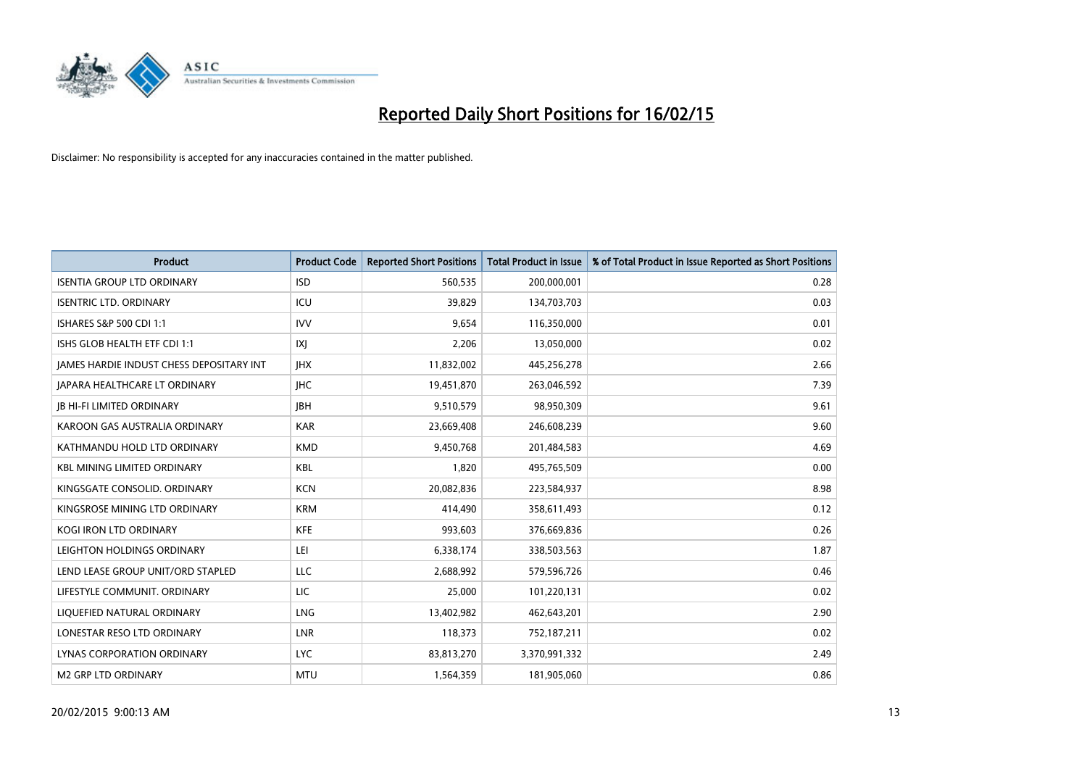

| <b>Product</b>                           | <b>Product Code</b> | <b>Reported Short Positions</b> | <b>Total Product in Issue</b> | % of Total Product in Issue Reported as Short Positions |
|------------------------------------------|---------------------|---------------------------------|-------------------------------|---------------------------------------------------------|
| <b>ISENTIA GROUP LTD ORDINARY</b>        | <b>ISD</b>          | 560,535                         | 200,000,001                   | 0.28                                                    |
| <b>ISENTRIC LTD. ORDINARY</b>            | ICU                 | 39,829                          | 134,703,703                   | 0.03                                                    |
| ISHARES S&P 500 CDI 1:1                  | <b>IVV</b>          | 9,654                           | 116,350,000                   | 0.01                                                    |
| ISHS GLOB HEALTH ETF CDI 1:1             | IXJ                 | 2,206                           | 13,050,000                    | 0.02                                                    |
| JAMES HARDIE INDUST CHESS DEPOSITARY INT | <b>IHX</b>          | 11,832,002                      | 445,256,278                   | 2.66                                                    |
| <b>JAPARA HEALTHCARE LT ORDINARY</b>     | <b>IHC</b>          | 19,451,870                      | 263,046,592                   | 7.39                                                    |
| <b>JB HI-FI LIMITED ORDINARY</b>         | <b>IBH</b>          | 9,510,579                       | 98,950,309                    | 9.61                                                    |
| KAROON GAS AUSTRALIA ORDINARY            | <b>KAR</b>          | 23,669,408                      | 246,608,239                   | 9.60                                                    |
| KATHMANDU HOLD LTD ORDINARY              | <b>KMD</b>          | 9,450,768                       | 201,484,583                   | 4.69                                                    |
| <b>KBL MINING LIMITED ORDINARY</b>       | <b>KBL</b>          | 1,820                           | 495,765,509                   | 0.00                                                    |
| KINGSGATE CONSOLID. ORDINARY             | <b>KCN</b>          | 20,082,836                      | 223,584,937                   | 8.98                                                    |
| KINGSROSE MINING LTD ORDINARY            | <b>KRM</b>          | 414,490                         | 358,611,493                   | 0.12                                                    |
| KOGI IRON LTD ORDINARY                   | KFE                 | 993,603                         | 376,669,836                   | 0.26                                                    |
| LEIGHTON HOLDINGS ORDINARY               | LEI                 | 6,338,174                       | 338,503,563                   | 1.87                                                    |
| LEND LEASE GROUP UNIT/ORD STAPLED        | <b>LLC</b>          | 2,688,992                       | 579,596,726                   | 0.46                                                    |
| LIFESTYLE COMMUNIT. ORDINARY             | LIC                 | 25,000                          | 101,220,131                   | 0.02                                                    |
| LIQUEFIED NATURAL ORDINARY               | LNG                 | 13,402,982                      | 462,643,201                   | 2.90                                                    |
| LONESTAR RESO LTD ORDINARY               | <b>LNR</b>          | 118,373                         | 752,187,211                   | 0.02                                                    |
| LYNAS CORPORATION ORDINARY               | <b>LYC</b>          | 83,813,270                      | 3,370,991,332                 | 2.49                                                    |
| <b>M2 GRP LTD ORDINARY</b>               | <b>MTU</b>          | 1,564,359                       | 181,905,060                   | 0.86                                                    |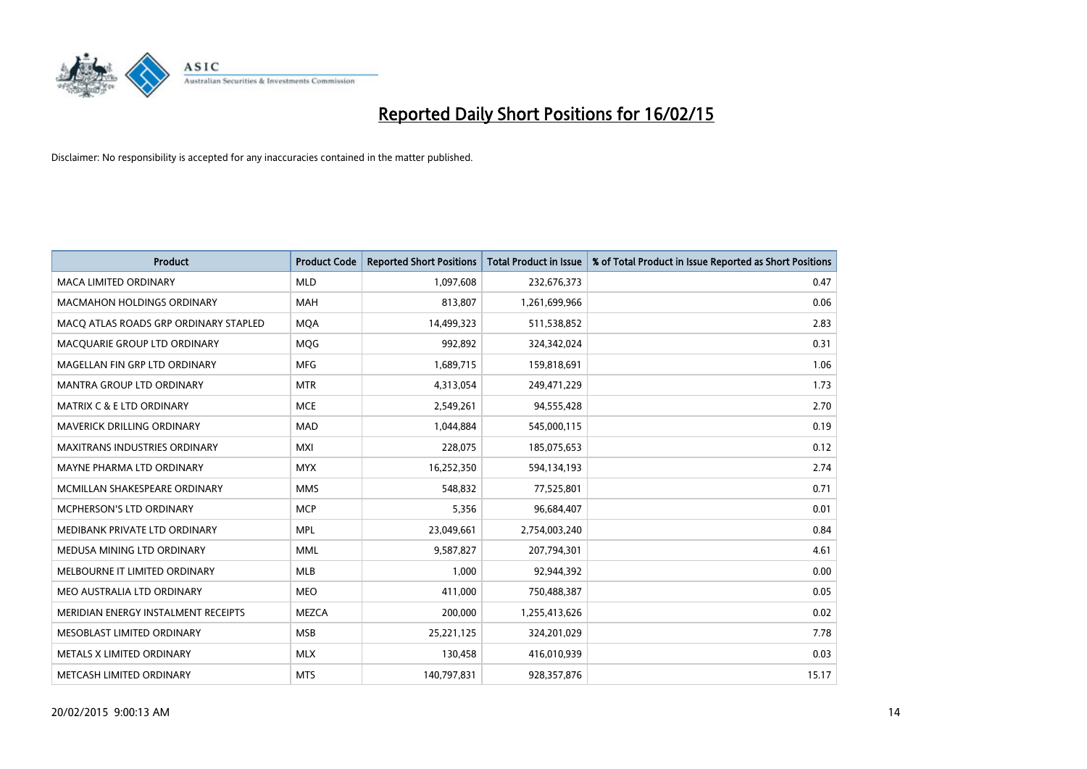

| <b>Product</b>                        | <b>Product Code</b> | <b>Reported Short Positions</b> | <b>Total Product in Issue</b> | % of Total Product in Issue Reported as Short Positions |
|---------------------------------------|---------------------|---------------------------------|-------------------------------|---------------------------------------------------------|
| <b>MACA LIMITED ORDINARY</b>          | <b>MLD</b>          | 1,097,608                       | 232,676,373                   | 0.47                                                    |
| <b>MACMAHON HOLDINGS ORDINARY</b>     | MAH                 | 813,807                         | 1,261,699,966                 | 0.06                                                    |
| MACO ATLAS ROADS GRP ORDINARY STAPLED | <b>MQA</b>          | 14,499,323                      | 511,538,852                   | 2.83                                                    |
| MACQUARIE GROUP LTD ORDINARY          | MQG                 | 992,892                         | 324,342,024                   | 0.31                                                    |
| MAGELLAN FIN GRP LTD ORDINARY         | <b>MFG</b>          | 1,689,715                       | 159,818,691                   | 1.06                                                    |
| <b>MANTRA GROUP LTD ORDINARY</b>      | <b>MTR</b>          | 4,313,054                       | 249,471,229                   | 1.73                                                    |
| <b>MATRIX C &amp; E LTD ORDINARY</b>  | <b>MCE</b>          | 2,549,261                       | 94,555,428                    | 2.70                                                    |
| <b>MAVERICK DRILLING ORDINARY</b>     | <b>MAD</b>          | 1,044,884                       | 545,000,115                   | 0.19                                                    |
| <b>MAXITRANS INDUSTRIES ORDINARY</b>  | <b>MXI</b>          | 228,075                         | 185,075,653                   | 0.12                                                    |
| MAYNE PHARMA LTD ORDINARY             | <b>MYX</b>          | 16,252,350                      | 594,134,193                   | 2.74                                                    |
| MCMILLAN SHAKESPEARE ORDINARY         | <b>MMS</b>          | 548,832                         | 77,525,801                    | 0.71                                                    |
| MCPHERSON'S LTD ORDINARY              | <b>MCP</b>          | 5,356                           | 96,684,407                    | 0.01                                                    |
| MEDIBANK PRIVATE LTD ORDINARY         | <b>MPL</b>          | 23,049,661                      | 2,754,003,240                 | 0.84                                                    |
| MEDUSA MINING LTD ORDINARY            | <b>MML</b>          | 9,587,827                       | 207,794,301                   | 4.61                                                    |
| MELBOURNE IT LIMITED ORDINARY         | <b>MLB</b>          | 1,000                           | 92,944,392                    | 0.00                                                    |
| MEO AUSTRALIA LTD ORDINARY            | <b>MEO</b>          | 411,000                         | 750,488,387                   | 0.05                                                    |
| MERIDIAN ENERGY INSTALMENT RECEIPTS   | <b>MEZCA</b>        | 200,000                         | 1,255,413,626                 | 0.02                                                    |
| MESOBLAST LIMITED ORDINARY            | <b>MSB</b>          | 25,221,125                      | 324,201,029                   | 7.78                                                    |
| METALS X LIMITED ORDINARY             | <b>MLX</b>          | 130,458                         | 416,010,939                   | 0.03                                                    |
| METCASH LIMITED ORDINARY              | <b>MTS</b>          | 140,797,831                     | 928,357,876                   | 15.17                                                   |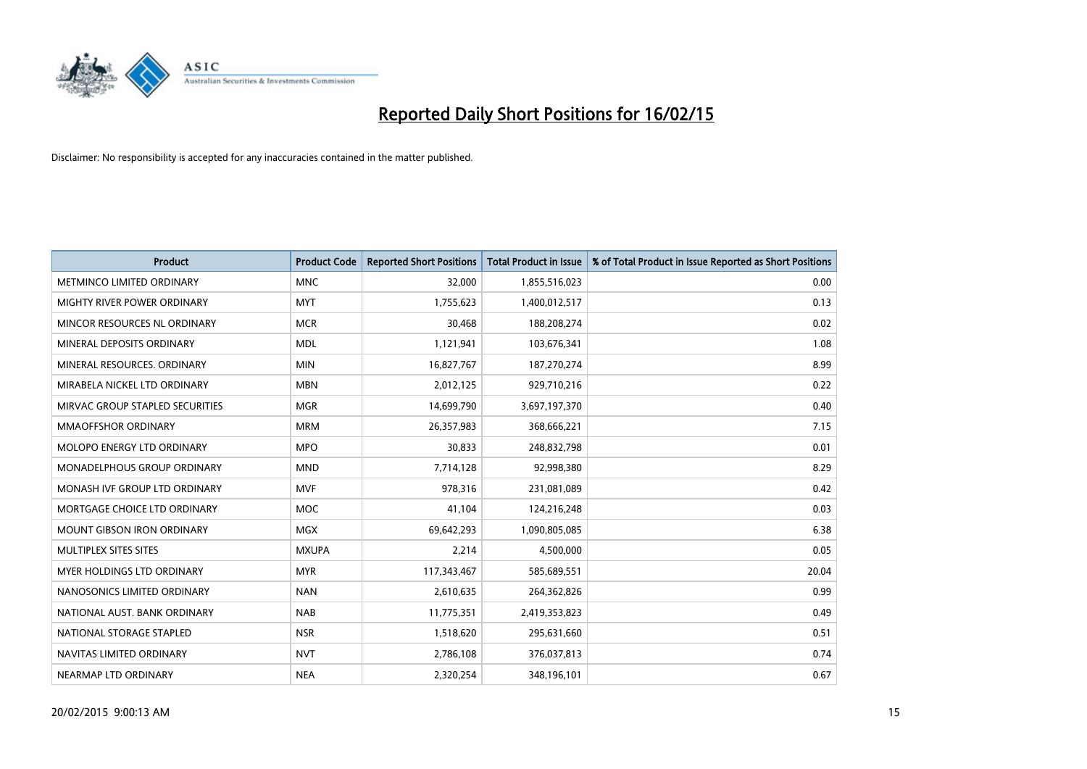

| <b>Product</b>                  | <b>Product Code</b> | <b>Reported Short Positions</b> | <b>Total Product in Issue</b> | % of Total Product in Issue Reported as Short Positions |
|---------------------------------|---------------------|---------------------------------|-------------------------------|---------------------------------------------------------|
| METMINCO LIMITED ORDINARY       | <b>MNC</b>          | 32,000                          | 1,855,516,023                 | 0.00                                                    |
| MIGHTY RIVER POWER ORDINARY     | <b>MYT</b>          | 1,755,623                       | 1,400,012,517                 | 0.13                                                    |
| MINCOR RESOURCES NL ORDINARY    | <b>MCR</b>          | 30,468                          | 188,208,274                   | 0.02                                                    |
| MINERAL DEPOSITS ORDINARY       | <b>MDL</b>          | 1,121,941                       | 103,676,341                   | 1.08                                                    |
| MINERAL RESOURCES, ORDINARY     | <b>MIN</b>          | 16,827,767                      | 187,270,274                   | 8.99                                                    |
| MIRABELA NICKEL LTD ORDINARY    | <b>MBN</b>          | 2,012,125                       | 929,710,216                   | 0.22                                                    |
| MIRVAC GROUP STAPLED SECURITIES | <b>MGR</b>          | 14,699,790                      | 3,697,197,370                 | 0.40                                                    |
| MMAOFFSHOR ORDINARY             | <b>MRM</b>          | 26,357,983                      | 368,666,221                   | 7.15                                                    |
| MOLOPO ENERGY LTD ORDINARY      | <b>MPO</b>          | 30,833                          | 248,832,798                   | 0.01                                                    |
| MONADELPHOUS GROUP ORDINARY     | <b>MND</b>          | 7,714,128                       | 92,998,380                    | 8.29                                                    |
| MONASH IVF GROUP LTD ORDINARY   | <b>MVF</b>          | 978,316                         | 231,081,089                   | 0.42                                                    |
| MORTGAGE CHOICE LTD ORDINARY    | <b>MOC</b>          | 41,104                          | 124,216,248                   | 0.03                                                    |
| MOUNT GIBSON IRON ORDINARY      | <b>MGX</b>          | 69,642,293                      | 1,090,805,085                 | 6.38                                                    |
| MULTIPLEX SITES SITES           | <b>MXUPA</b>        | 2,214                           | 4,500,000                     | 0.05                                                    |
| MYER HOLDINGS LTD ORDINARY      | <b>MYR</b>          | 117,343,467                     | 585,689,551                   | 20.04                                                   |
| NANOSONICS LIMITED ORDINARY     | <b>NAN</b>          | 2,610,635                       | 264,362,826                   | 0.99                                                    |
| NATIONAL AUST. BANK ORDINARY    | <b>NAB</b>          | 11,775,351                      | 2,419,353,823                 | 0.49                                                    |
| NATIONAL STORAGE STAPLED        | <b>NSR</b>          | 1,518,620                       | 295,631,660                   | 0.51                                                    |
| NAVITAS LIMITED ORDINARY        | <b>NVT</b>          | 2,786,108                       | 376,037,813                   | 0.74                                                    |
| NEARMAP LTD ORDINARY            | <b>NEA</b>          | 2,320,254                       | 348,196,101                   | 0.67                                                    |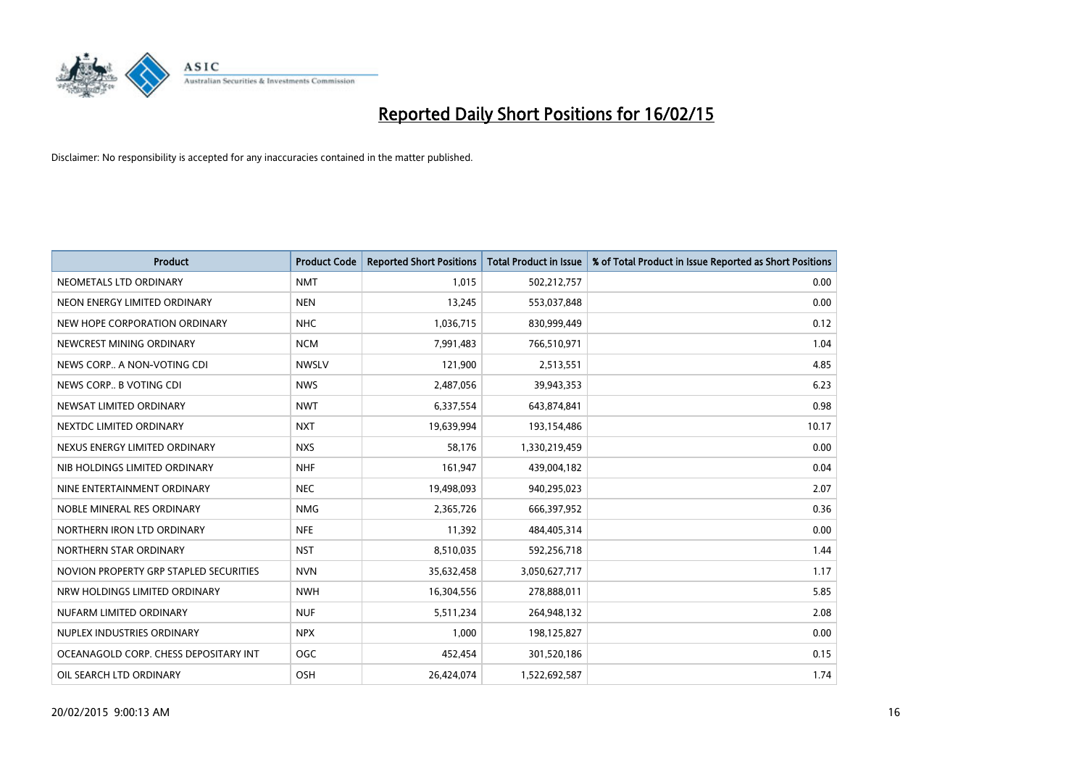

| <b>Product</b>                         | <b>Product Code</b> | <b>Reported Short Positions</b> | <b>Total Product in Issue</b> | % of Total Product in Issue Reported as Short Positions |
|----------------------------------------|---------------------|---------------------------------|-------------------------------|---------------------------------------------------------|
| NEOMETALS LTD ORDINARY                 | <b>NMT</b>          | 1.015                           | 502,212,757                   | 0.00                                                    |
| NEON ENERGY LIMITED ORDINARY           | <b>NEN</b>          | 13,245                          | 553,037,848                   | 0.00                                                    |
| NEW HOPE CORPORATION ORDINARY          | <b>NHC</b>          | 1,036,715                       | 830,999,449                   | 0.12                                                    |
| NEWCREST MINING ORDINARY               | <b>NCM</b>          | 7,991,483                       | 766,510,971                   | 1.04                                                    |
| NEWS CORP A NON-VOTING CDI             | <b>NWSLV</b>        | 121,900                         | 2,513,551                     | 4.85                                                    |
| NEWS CORP B VOTING CDI                 | <b>NWS</b>          | 2,487,056                       | 39,943,353                    | 6.23                                                    |
| NEWSAT LIMITED ORDINARY                | <b>NWT</b>          | 6,337,554                       | 643,874,841                   | 0.98                                                    |
| NEXTDC LIMITED ORDINARY                | <b>NXT</b>          | 19,639,994                      | 193,154,486                   | 10.17                                                   |
| NEXUS ENERGY LIMITED ORDINARY          | <b>NXS</b>          | 58.176                          | 1,330,219,459                 | 0.00                                                    |
| NIB HOLDINGS LIMITED ORDINARY          | <b>NHF</b>          | 161,947                         | 439,004,182                   | 0.04                                                    |
| NINE ENTERTAINMENT ORDINARY            | <b>NEC</b>          | 19,498,093                      | 940,295,023                   | 2.07                                                    |
| NOBLE MINERAL RES ORDINARY             | <b>NMG</b>          | 2,365,726                       | 666,397,952                   | 0.36                                                    |
| NORTHERN IRON LTD ORDINARY             | <b>NFE</b>          | 11,392                          | 484,405,314                   | 0.00                                                    |
| NORTHERN STAR ORDINARY                 | <b>NST</b>          | 8,510,035                       | 592,256,718                   | 1.44                                                    |
| NOVION PROPERTY GRP STAPLED SECURITIES | <b>NVN</b>          | 35,632,458                      | 3,050,627,717                 | 1.17                                                    |
| NRW HOLDINGS LIMITED ORDINARY          | <b>NWH</b>          | 16,304,556                      | 278,888,011                   | 5.85                                                    |
| NUFARM LIMITED ORDINARY                | <b>NUF</b>          | 5,511,234                       | 264,948,132                   | 2.08                                                    |
| NUPLEX INDUSTRIES ORDINARY             | <b>NPX</b>          | 1,000                           | 198,125,827                   | 0.00                                                    |
| OCEANAGOLD CORP. CHESS DEPOSITARY INT  | <b>OGC</b>          | 452,454                         | 301,520,186                   | 0.15                                                    |
| OIL SEARCH LTD ORDINARY                | OSH                 | 26,424,074                      | 1,522,692,587                 | 1.74                                                    |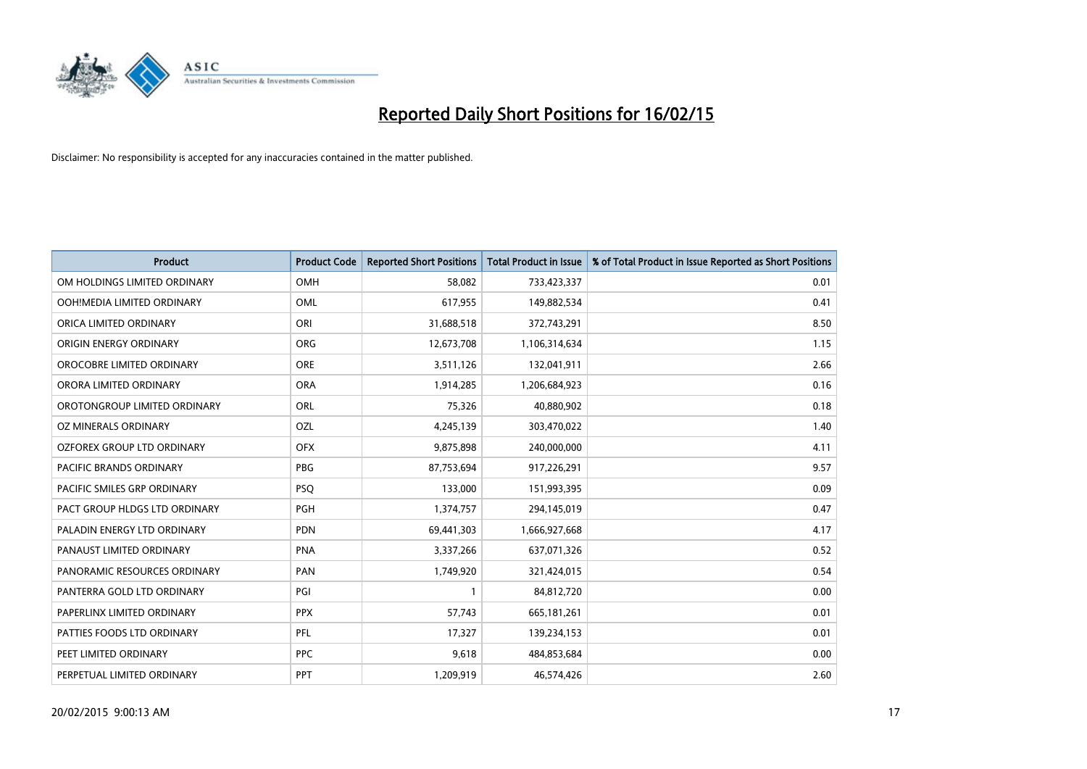

| <b>Product</b>                 | <b>Product Code</b> | <b>Reported Short Positions</b> | <b>Total Product in Issue</b> | % of Total Product in Issue Reported as Short Positions |
|--------------------------------|---------------------|---------------------------------|-------------------------------|---------------------------------------------------------|
| OM HOLDINGS LIMITED ORDINARY   | <b>OMH</b>          | 58,082                          | 733,423,337                   | 0.01                                                    |
| OOH!MEDIA LIMITED ORDINARY     | OML                 | 617,955                         | 149,882,534                   | 0.41                                                    |
| ORICA LIMITED ORDINARY         | ORI                 | 31,688,518                      | 372,743,291                   | 8.50                                                    |
| ORIGIN ENERGY ORDINARY         | <b>ORG</b>          | 12,673,708                      | 1,106,314,634                 | 1.15                                                    |
| OROCOBRE LIMITED ORDINARY      | <b>ORE</b>          | 3,511,126                       | 132,041,911                   | 2.66                                                    |
| ORORA LIMITED ORDINARY         | <b>ORA</b>          | 1,914,285                       | 1,206,684,923                 | 0.16                                                    |
| OROTONGROUP LIMITED ORDINARY   | ORL                 | 75,326                          | 40,880,902                    | 0.18                                                    |
| OZ MINERALS ORDINARY           | OZL                 | 4,245,139                       | 303,470,022                   | 1.40                                                    |
| OZFOREX GROUP LTD ORDINARY     | <b>OFX</b>          | 9,875,898                       | 240,000,000                   | 4.11                                                    |
| <b>PACIFIC BRANDS ORDINARY</b> | <b>PBG</b>          | 87,753,694                      | 917,226,291                   | 9.57                                                    |
| PACIFIC SMILES GRP ORDINARY    | <b>PSQ</b>          | 133,000                         | 151,993,395                   | 0.09                                                    |
| PACT GROUP HLDGS LTD ORDINARY  | <b>PGH</b>          | 1,374,757                       | 294,145,019                   | 0.47                                                    |
| PALADIN ENERGY LTD ORDINARY    | <b>PDN</b>          | 69,441,303                      | 1,666,927,668                 | 4.17                                                    |
| PANAUST LIMITED ORDINARY       | <b>PNA</b>          | 3,337,266                       | 637,071,326                   | 0.52                                                    |
| PANORAMIC RESOURCES ORDINARY   | PAN                 | 1,749,920                       | 321,424,015                   | 0.54                                                    |
| PANTERRA GOLD LTD ORDINARY     | PGI                 |                                 | 84,812,720                    | 0.00                                                    |
| PAPERLINX LIMITED ORDINARY     | <b>PPX</b>          | 57,743                          | 665,181,261                   | 0.01                                                    |
| PATTIES FOODS LTD ORDINARY     | PFL                 | 17,327                          | 139,234,153                   | 0.01                                                    |
| PEET LIMITED ORDINARY          | <b>PPC</b>          | 9,618                           | 484,853,684                   | 0.00                                                    |
| PERPETUAL LIMITED ORDINARY     | <b>PPT</b>          | 1,209,919                       | 46,574,426                    | 2.60                                                    |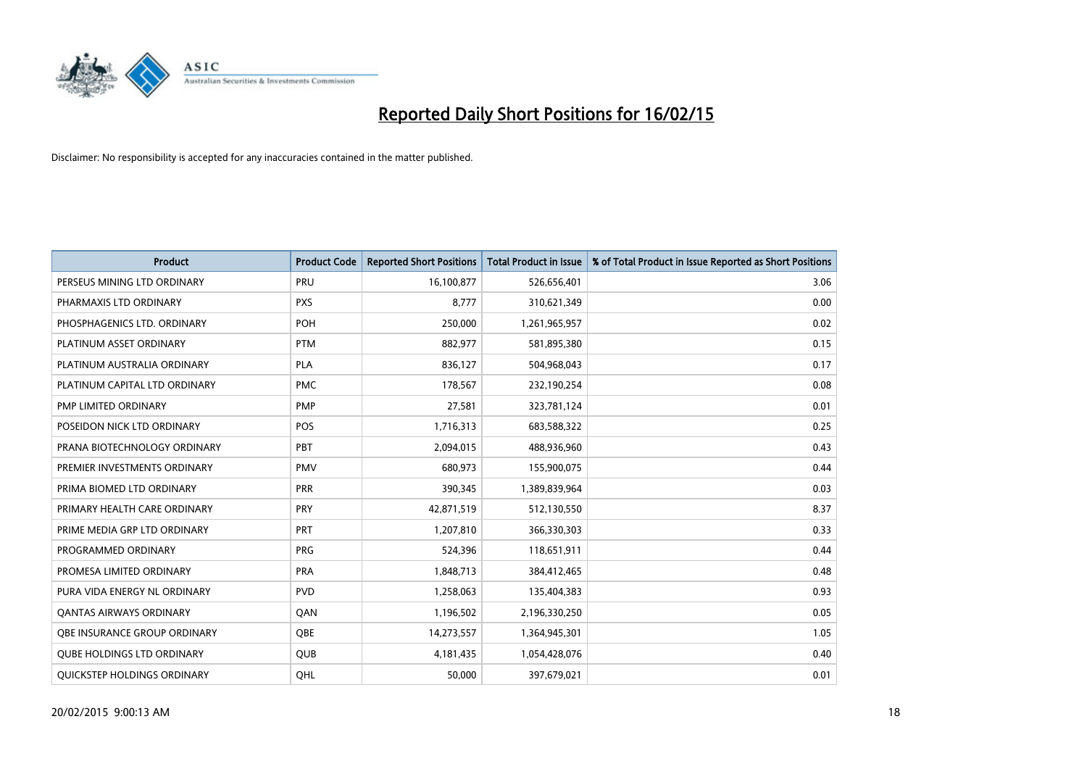

| <b>Product</b>                    | <b>Product Code</b> | <b>Reported Short Positions</b> | <b>Total Product in Issue</b> | % of Total Product in Issue Reported as Short Positions |
|-----------------------------------|---------------------|---------------------------------|-------------------------------|---------------------------------------------------------|
| PERSEUS MINING LTD ORDINARY       | PRU                 | 16,100,877                      | 526,656,401                   | 3.06                                                    |
| PHARMAXIS LTD ORDINARY            | <b>PXS</b>          | 8,777                           | 310,621,349                   | 0.00                                                    |
| PHOSPHAGENICS LTD. ORDINARY       | POH                 | 250,000                         | 1,261,965,957                 | 0.02                                                    |
| PLATINUM ASSET ORDINARY           | <b>PTM</b>          | 882,977                         | 581,895,380                   | 0.15                                                    |
| PLATINUM AUSTRALIA ORDINARY       | <b>PLA</b>          | 836,127                         | 504,968,043                   | 0.17                                                    |
| PLATINUM CAPITAL LTD ORDINARY     | <b>PMC</b>          | 178,567                         | 232,190,254                   | 0.08                                                    |
| PMP LIMITED ORDINARY              | <b>PMP</b>          | 27,581                          | 323,781,124                   | 0.01                                                    |
| POSEIDON NICK LTD ORDINARY        | <b>POS</b>          | 1,716,313                       | 683,588,322                   | 0.25                                                    |
| PRANA BIOTECHNOLOGY ORDINARY      | PBT                 | 2,094,015                       | 488,936,960                   | 0.43                                                    |
| PREMIER INVESTMENTS ORDINARY      | <b>PMV</b>          | 680,973                         | 155,900,075                   | 0.44                                                    |
| PRIMA BIOMED LTD ORDINARY         | <b>PRR</b>          | 390,345                         | 1,389,839,964                 | 0.03                                                    |
| PRIMARY HEALTH CARE ORDINARY      | <b>PRY</b>          | 42,871,519                      | 512,130,550                   | 8.37                                                    |
| PRIME MEDIA GRP LTD ORDINARY      | <b>PRT</b>          | 1,207,810                       | 366,330,303                   | 0.33                                                    |
| PROGRAMMED ORDINARY               | <b>PRG</b>          | 524,396                         | 118,651,911                   | 0.44                                                    |
| PROMESA LIMITED ORDINARY          | <b>PRA</b>          | 1,848,713                       | 384,412,465                   | 0.48                                                    |
| PURA VIDA ENERGY NL ORDINARY      | <b>PVD</b>          | 1,258,063                       | 135,404,383                   | 0.93                                                    |
| <b>QANTAS AIRWAYS ORDINARY</b>    | QAN                 | 1,196,502                       | 2,196,330,250                 | 0.05                                                    |
| OBE INSURANCE GROUP ORDINARY      | <b>OBE</b>          | 14,273,557                      | 1,364,945,301                 | 1.05                                                    |
| <b>QUBE HOLDINGS LTD ORDINARY</b> | QUB                 | 4,181,435                       | 1,054,428,076                 | 0.40                                                    |
| QUICKSTEP HOLDINGS ORDINARY       | QHL                 | 50,000                          | 397,679,021                   | 0.01                                                    |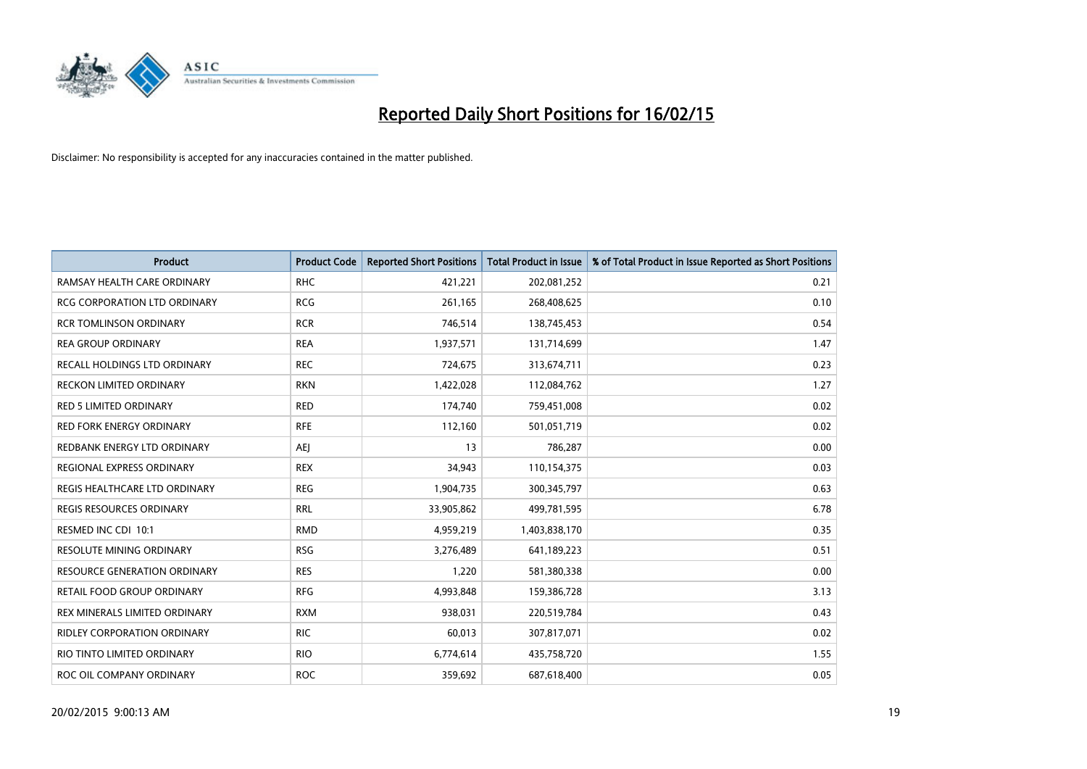

| <b>Product</b>                      | <b>Product Code</b> | <b>Reported Short Positions</b> | <b>Total Product in Issue</b> | % of Total Product in Issue Reported as Short Positions |
|-------------------------------------|---------------------|---------------------------------|-------------------------------|---------------------------------------------------------|
| RAMSAY HEALTH CARE ORDINARY         | <b>RHC</b>          | 421,221                         | 202,081,252                   | 0.21                                                    |
| RCG CORPORATION LTD ORDINARY        | <b>RCG</b>          | 261,165                         | 268,408,625                   | 0.10                                                    |
| <b>RCR TOMLINSON ORDINARY</b>       | <b>RCR</b>          | 746,514                         | 138,745,453                   | 0.54                                                    |
| <b>REA GROUP ORDINARY</b>           | <b>REA</b>          | 1,937,571                       | 131,714,699                   | 1.47                                                    |
| RECALL HOLDINGS LTD ORDINARY        | <b>REC</b>          | 724,675                         | 313,674,711                   | 0.23                                                    |
| <b>RECKON LIMITED ORDINARY</b>      | <b>RKN</b>          | 1,422,028                       | 112,084,762                   | 1.27                                                    |
| <b>RED 5 LIMITED ORDINARY</b>       | <b>RED</b>          | 174,740                         | 759,451,008                   | 0.02                                                    |
| RED FORK ENERGY ORDINARY            | <b>RFE</b>          | 112,160                         | 501,051,719                   | 0.02                                                    |
| REDBANK ENERGY LTD ORDINARY         | <b>AEI</b>          | 13                              | 786,287                       | 0.00                                                    |
| <b>REGIONAL EXPRESS ORDINARY</b>    | <b>REX</b>          | 34,943                          | 110,154,375                   | 0.03                                                    |
| REGIS HEALTHCARE LTD ORDINARY       | <b>REG</b>          | 1,904,735                       | 300, 345, 797                 | 0.63                                                    |
| REGIS RESOURCES ORDINARY            | <b>RRL</b>          | 33,905,862                      | 499,781,595                   | 6.78                                                    |
| RESMED INC CDI 10:1                 | <b>RMD</b>          | 4,959,219                       | 1,403,838,170                 | 0.35                                                    |
| RESOLUTE MINING ORDINARY            | <b>RSG</b>          | 3,276,489                       | 641,189,223                   | 0.51                                                    |
| <b>RESOURCE GENERATION ORDINARY</b> | <b>RES</b>          | 1,220                           | 581,380,338                   | 0.00                                                    |
| RETAIL FOOD GROUP ORDINARY          | <b>RFG</b>          | 4,993,848                       | 159,386,728                   | 3.13                                                    |
| REX MINERALS LIMITED ORDINARY       | <b>RXM</b>          | 938,031                         | 220,519,784                   | 0.43                                                    |
| RIDLEY CORPORATION ORDINARY         | RIC.                | 60,013                          | 307,817,071                   | 0.02                                                    |
| RIO TINTO LIMITED ORDINARY          | <b>RIO</b>          | 6,774,614                       | 435,758,720                   | 1.55                                                    |
| ROC OIL COMPANY ORDINARY            | <b>ROC</b>          | 359,692                         | 687,618,400                   | 0.05                                                    |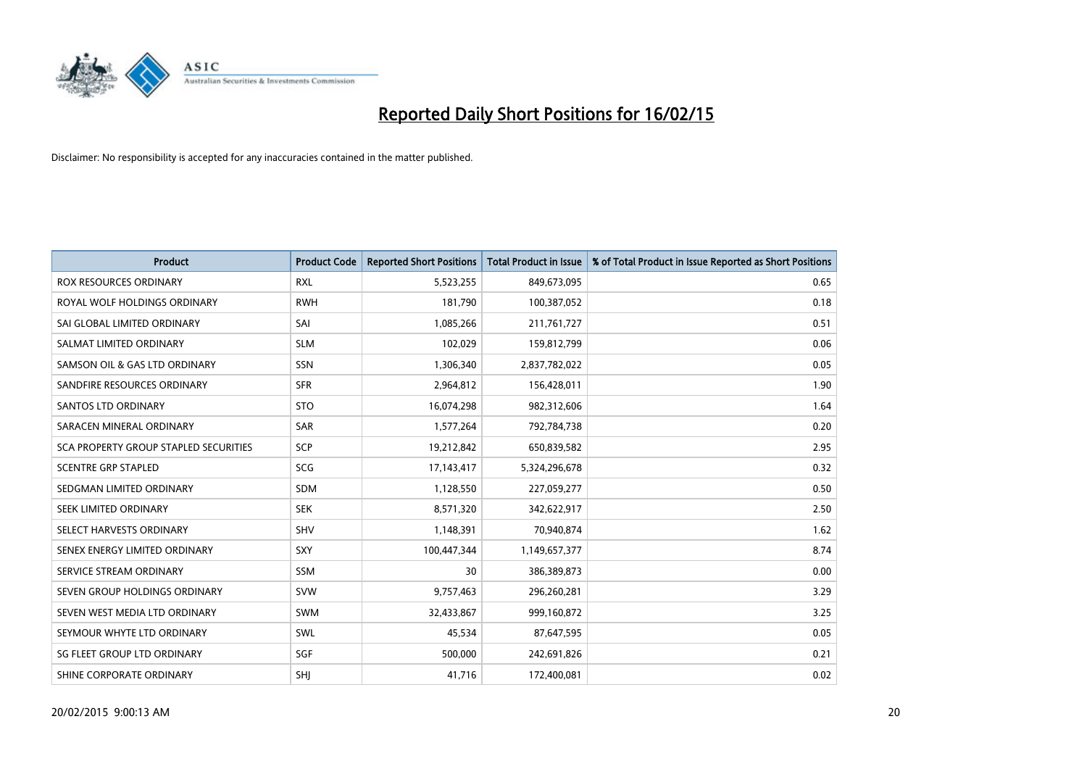

| <b>Product</b>                               | <b>Product Code</b> | <b>Reported Short Positions</b> | <b>Total Product in Issue</b> | % of Total Product in Issue Reported as Short Positions |
|----------------------------------------------|---------------------|---------------------------------|-------------------------------|---------------------------------------------------------|
| <b>ROX RESOURCES ORDINARY</b>                | <b>RXL</b>          | 5,523,255                       | 849,673,095                   | 0.65                                                    |
| ROYAL WOLF HOLDINGS ORDINARY                 | <b>RWH</b>          | 181,790                         | 100,387,052                   | 0.18                                                    |
| SAI GLOBAL LIMITED ORDINARY                  | SAI                 | 1,085,266                       | 211,761,727                   | 0.51                                                    |
| SALMAT LIMITED ORDINARY                      | <b>SLM</b>          | 102,029                         | 159,812,799                   | 0.06                                                    |
| SAMSON OIL & GAS LTD ORDINARY                | SSN                 | 1,306,340                       | 2,837,782,022                 | 0.05                                                    |
| SANDFIRE RESOURCES ORDINARY                  | <b>SFR</b>          | 2,964,812                       | 156,428,011                   | 1.90                                                    |
| <b>SANTOS LTD ORDINARY</b>                   | <b>STO</b>          | 16,074,298                      | 982,312,606                   | 1.64                                                    |
| SARACEN MINERAL ORDINARY                     | <b>SAR</b>          | 1,577,264                       | 792,784,738                   | 0.20                                                    |
| <b>SCA PROPERTY GROUP STAPLED SECURITIES</b> | SCP                 | 19,212,842                      | 650,839,582                   | 2.95                                                    |
| <b>SCENTRE GRP STAPLED</b>                   | SCG                 | 17,143,417                      | 5,324,296,678                 | 0.32                                                    |
| SEDGMAN LIMITED ORDINARY                     | <b>SDM</b>          | 1,128,550                       | 227,059,277                   | 0.50                                                    |
| SEEK LIMITED ORDINARY                        | <b>SEK</b>          | 8,571,320                       | 342,622,917                   | 2.50                                                    |
| SELECT HARVESTS ORDINARY                     | <b>SHV</b>          | 1,148,391                       | 70,940,874                    | 1.62                                                    |
| SENEX ENERGY LIMITED ORDINARY                | <b>SXY</b>          | 100,447,344                     | 1,149,657,377                 | 8.74                                                    |
| SERVICE STREAM ORDINARY                      | <b>SSM</b>          | 30                              | 386,389,873                   | 0.00                                                    |
| SEVEN GROUP HOLDINGS ORDINARY                | <b>SVW</b>          | 9,757,463                       | 296,260,281                   | 3.29                                                    |
| SEVEN WEST MEDIA LTD ORDINARY                | <b>SWM</b>          | 32,433,867                      | 999,160,872                   | 3.25                                                    |
| SEYMOUR WHYTE LTD ORDINARY                   | SWL                 | 45,534                          | 87,647,595                    | 0.05                                                    |
| SG FLEET GROUP LTD ORDINARY                  | SGF                 | 500,000                         | 242,691,826                   | 0.21                                                    |
| SHINE CORPORATE ORDINARY                     | SHJ                 | 41,716                          | 172,400,081                   | 0.02                                                    |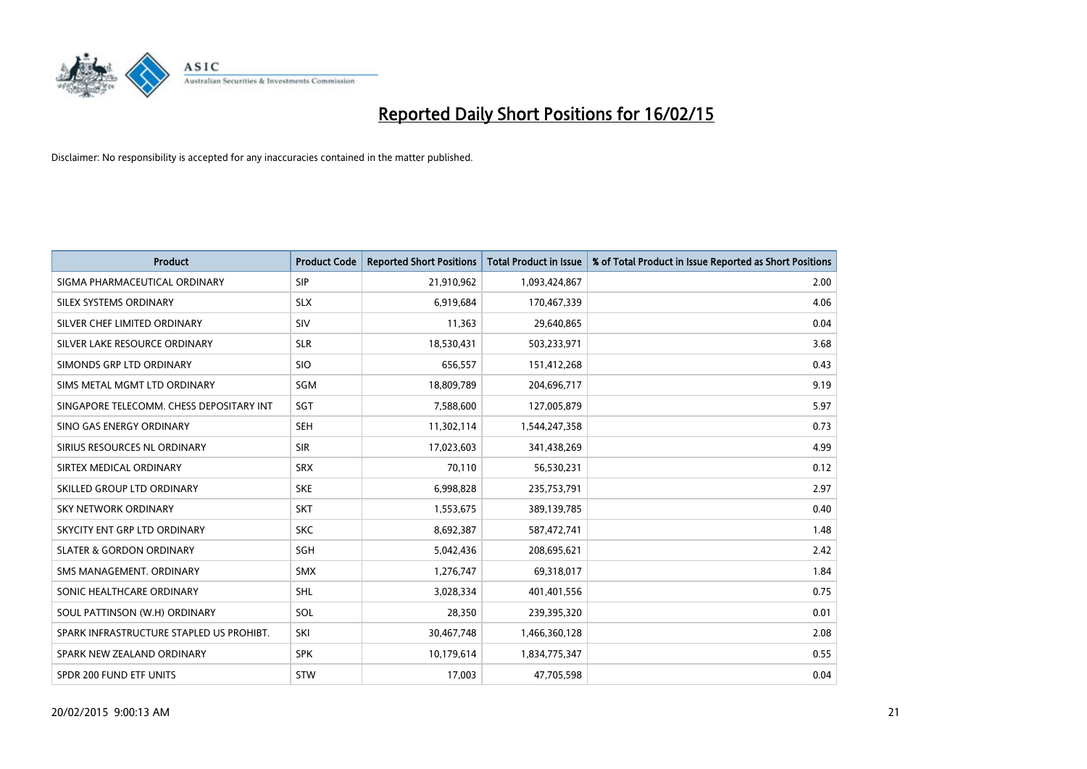

| <b>Product</b>                           | <b>Product Code</b> | <b>Reported Short Positions</b> | <b>Total Product in Issue</b> | % of Total Product in Issue Reported as Short Positions |
|------------------------------------------|---------------------|---------------------------------|-------------------------------|---------------------------------------------------------|
| SIGMA PHARMACEUTICAL ORDINARY            | <b>SIP</b>          | 21,910,962                      | 1,093,424,867                 | 2.00                                                    |
| SILEX SYSTEMS ORDINARY                   | <b>SLX</b>          | 6,919,684                       | 170,467,339                   | 4.06                                                    |
| SILVER CHEF LIMITED ORDINARY             | SIV                 | 11,363                          | 29,640,865                    | 0.04                                                    |
| SILVER LAKE RESOURCE ORDINARY            | <b>SLR</b>          | 18,530,431                      | 503,233,971                   | 3.68                                                    |
| SIMONDS GRP LTD ORDINARY                 | <b>SIO</b>          | 656,557                         | 151,412,268                   | 0.43                                                    |
| SIMS METAL MGMT LTD ORDINARY             | SGM                 | 18,809,789                      | 204,696,717                   | 9.19                                                    |
| SINGAPORE TELECOMM. CHESS DEPOSITARY INT | <b>SGT</b>          | 7,588,600                       | 127,005,879                   | 5.97                                                    |
| SINO GAS ENERGY ORDINARY                 | <b>SEH</b>          | 11,302,114                      | 1,544,247,358                 | 0.73                                                    |
| SIRIUS RESOURCES NL ORDINARY             | <b>SIR</b>          | 17,023,603                      | 341,438,269                   | 4.99                                                    |
| SIRTEX MEDICAL ORDINARY                  | <b>SRX</b>          | 70,110                          | 56,530,231                    | 0.12                                                    |
| SKILLED GROUP LTD ORDINARY               | <b>SKE</b>          | 6,998,828                       | 235,753,791                   | 2.97                                                    |
| <b>SKY NETWORK ORDINARY</b>              | <b>SKT</b>          | 1,553,675                       | 389,139,785                   | 0.40                                                    |
| SKYCITY ENT GRP LTD ORDINARY             | <b>SKC</b>          | 8,692,387                       | 587,472,741                   | 1.48                                                    |
| <b>SLATER &amp; GORDON ORDINARY</b>      | SGH                 | 5,042,436                       | 208,695,621                   | 2.42                                                    |
| SMS MANAGEMENT, ORDINARY                 | <b>SMX</b>          | 1,276,747                       | 69,318,017                    | 1.84                                                    |
| SONIC HEALTHCARE ORDINARY                | SHL                 | 3,028,334                       | 401,401,556                   | 0.75                                                    |
| SOUL PATTINSON (W.H) ORDINARY            | SOL                 | 28,350                          | 239,395,320                   | 0.01                                                    |
| SPARK INFRASTRUCTURE STAPLED US PROHIBT. | SKI                 | 30,467,748                      | 1,466,360,128                 | 2.08                                                    |
| SPARK NEW ZEALAND ORDINARY               | <b>SPK</b>          | 10,179,614                      | 1,834,775,347                 | 0.55                                                    |
| SPDR 200 FUND ETF UNITS                  | <b>STW</b>          | 17,003                          | 47,705,598                    | 0.04                                                    |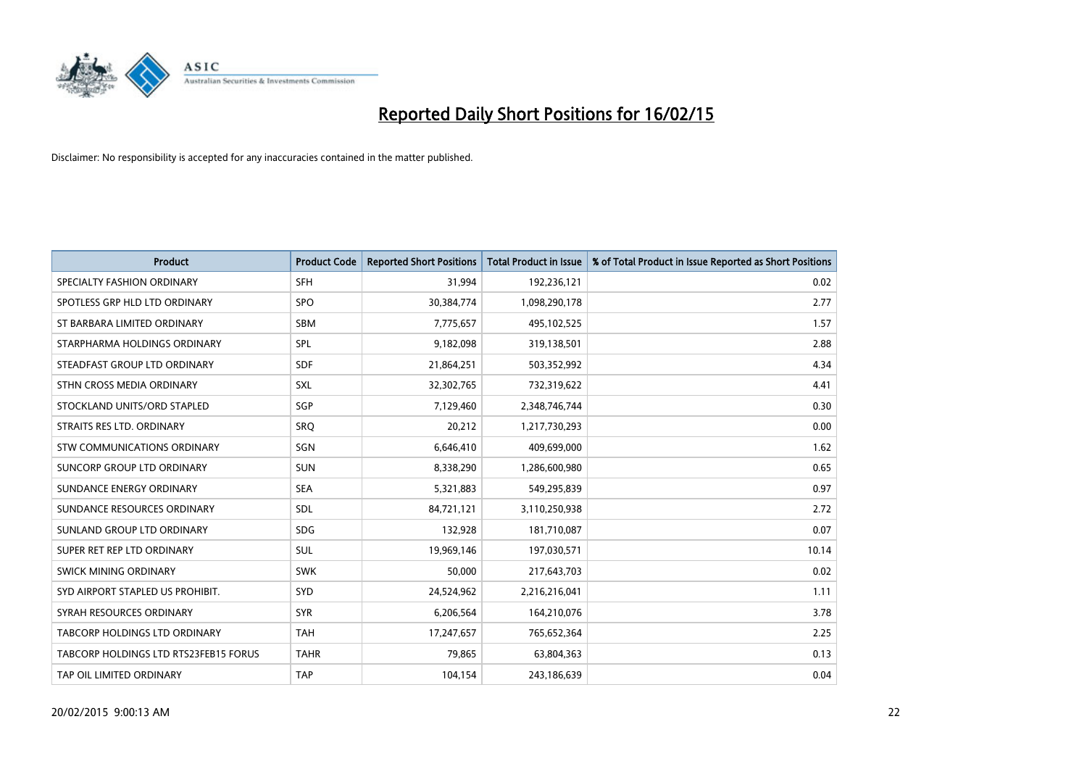

| <b>Product</b>                        | <b>Product Code</b> | <b>Reported Short Positions</b> | <b>Total Product in Issue</b> | % of Total Product in Issue Reported as Short Positions |
|---------------------------------------|---------------------|---------------------------------|-------------------------------|---------------------------------------------------------|
| SPECIALTY FASHION ORDINARY            | <b>SFH</b>          | 31,994                          | 192,236,121                   | 0.02                                                    |
| SPOTLESS GRP HLD LTD ORDINARY         | <b>SPO</b>          | 30,384,774                      | 1,098,290,178                 | 2.77                                                    |
| ST BARBARA LIMITED ORDINARY           | <b>SBM</b>          | 7,775,657                       | 495,102,525                   | 1.57                                                    |
| STARPHARMA HOLDINGS ORDINARY          | <b>SPL</b>          | 9,182,098                       | 319,138,501                   | 2.88                                                    |
| STEADFAST GROUP LTD ORDINARY          | <b>SDF</b>          | 21,864,251                      | 503,352,992                   | 4.34                                                    |
| STHN CROSS MEDIA ORDINARY             | <b>SXL</b>          | 32,302,765                      | 732,319,622                   | 4.41                                                    |
| STOCKLAND UNITS/ORD STAPLED           | SGP                 | 7,129,460                       | 2,348,746,744                 | 0.30                                                    |
| STRAITS RES LTD. ORDINARY             | SRO                 | 20,212                          | 1,217,730,293                 | 0.00                                                    |
| STW COMMUNICATIONS ORDINARY           | <b>SGN</b>          | 6,646,410                       | 409,699,000                   | 1.62                                                    |
| SUNCORP GROUP LTD ORDINARY            | <b>SUN</b>          | 8,338,290                       | 1,286,600,980                 | 0.65                                                    |
| SUNDANCE ENERGY ORDINARY              | <b>SEA</b>          | 5,321,883                       | 549,295,839                   | 0.97                                                    |
| SUNDANCE RESOURCES ORDINARY           | SDL                 | 84,721,121                      | 3,110,250,938                 | 2.72                                                    |
| SUNLAND GROUP LTD ORDINARY            | <b>SDG</b>          | 132,928                         | 181,710,087                   | 0.07                                                    |
| SUPER RET REP LTD ORDINARY            | <b>SUL</b>          | 19,969,146                      | 197,030,571                   | 10.14                                                   |
| SWICK MINING ORDINARY                 | <b>SWK</b>          | 50,000                          | 217,643,703                   | 0.02                                                    |
| SYD AIRPORT STAPLED US PROHIBIT.      | <b>SYD</b>          | 24,524,962                      | 2,216,216,041                 | 1.11                                                    |
| SYRAH RESOURCES ORDINARY              | <b>SYR</b>          | 6,206,564                       | 164,210,076                   | 3.78                                                    |
| TABCORP HOLDINGS LTD ORDINARY         | <b>TAH</b>          | 17,247,657                      | 765,652,364                   | 2.25                                                    |
| TABCORP HOLDINGS LTD RTS23FEB15 FORUS | <b>TAHR</b>         | 79,865                          | 63,804,363                    | 0.13                                                    |
| TAP OIL LIMITED ORDINARY              | <b>TAP</b>          | 104,154                         | 243,186,639                   | 0.04                                                    |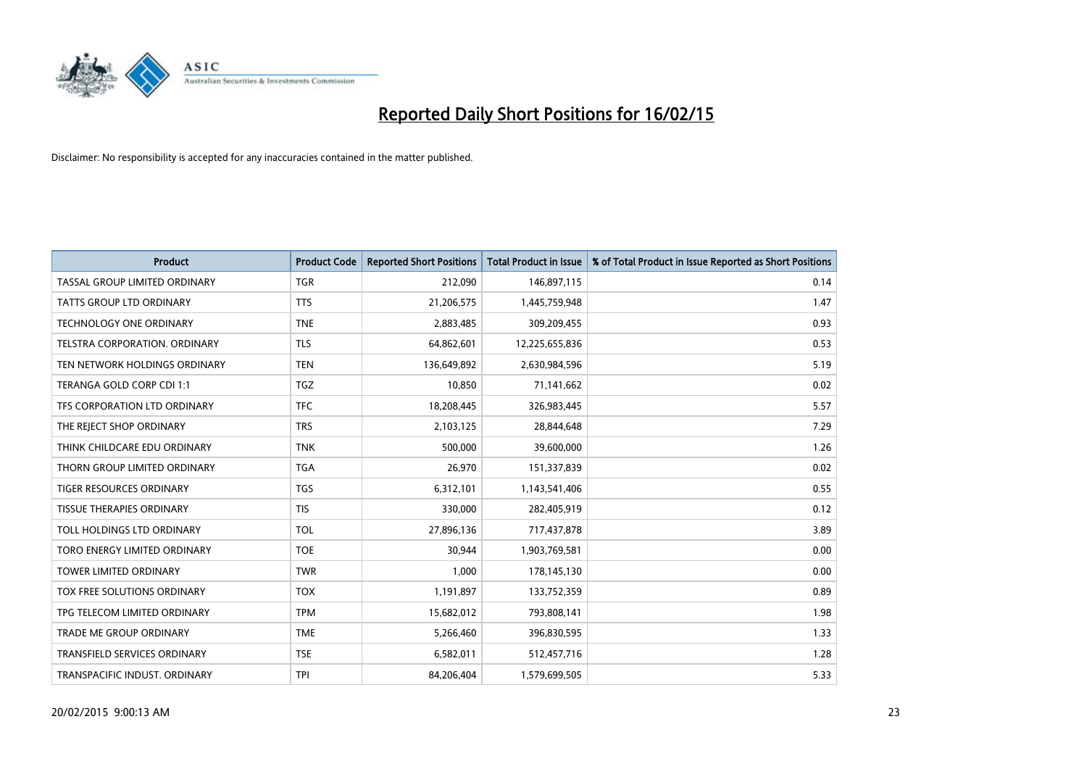

| <b>Product</b>                      | <b>Product Code</b> | <b>Reported Short Positions</b> | <b>Total Product in Issue</b> | % of Total Product in Issue Reported as Short Positions |
|-------------------------------------|---------------------|---------------------------------|-------------------------------|---------------------------------------------------------|
| TASSAL GROUP LIMITED ORDINARY       | <b>TGR</b>          | 212,090                         | 146,897,115                   | 0.14                                                    |
| TATTS GROUP LTD ORDINARY            | <b>TTS</b>          | 21,206,575                      | 1,445,759,948                 | 1.47                                                    |
| <b>TECHNOLOGY ONE ORDINARY</b>      | <b>TNE</b>          | 2,883,485                       | 309,209,455                   | 0.93                                                    |
| TELSTRA CORPORATION, ORDINARY       | <b>TLS</b>          | 64,862,601                      | 12,225,655,836                | 0.53                                                    |
| TEN NETWORK HOLDINGS ORDINARY       | <b>TEN</b>          | 136,649,892                     | 2,630,984,596                 | 5.19                                                    |
| TERANGA GOLD CORP CDI 1:1           | <b>TGZ</b>          | 10,850                          | 71,141,662                    | 0.02                                                    |
| TFS CORPORATION LTD ORDINARY        | <b>TFC</b>          | 18,208,445                      | 326,983,445                   | 5.57                                                    |
| THE REJECT SHOP ORDINARY            | <b>TRS</b>          | 2,103,125                       | 28,844,648                    | 7.29                                                    |
| THINK CHILDCARE EDU ORDINARY        | <b>TNK</b>          | 500,000                         | 39,600,000                    | 1.26                                                    |
| THORN GROUP LIMITED ORDINARY        | <b>TGA</b>          | 26,970                          | 151,337,839                   | 0.02                                                    |
| TIGER RESOURCES ORDINARY            | <b>TGS</b>          | 6,312,101                       | 1,143,541,406                 | 0.55                                                    |
| <b>TISSUE THERAPIES ORDINARY</b>    | <b>TIS</b>          | 330,000                         | 282,405,919                   | 0.12                                                    |
| TOLL HOLDINGS LTD ORDINARY          | <b>TOL</b>          | 27,896,136                      | 717,437,878                   | 3.89                                                    |
| TORO ENERGY LIMITED ORDINARY        | <b>TOE</b>          | 30,944                          | 1,903,769,581                 | 0.00                                                    |
| <b>TOWER LIMITED ORDINARY</b>       | <b>TWR</b>          | 1,000                           | 178,145,130                   | 0.00                                                    |
| <b>TOX FREE SOLUTIONS ORDINARY</b>  | <b>TOX</b>          | 1,191,897                       | 133,752,359                   | 0.89                                                    |
| TPG TELECOM LIMITED ORDINARY        | <b>TPM</b>          | 15,682,012                      | 793,808,141                   | 1.98                                                    |
| <b>TRADE ME GROUP ORDINARY</b>      | <b>TME</b>          | 5,266,460                       | 396,830,595                   | 1.33                                                    |
| <b>TRANSFIELD SERVICES ORDINARY</b> | <b>TSE</b>          | 6,582,011                       | 512,457,716                   | 1.28                                                    |
| TRANSPACIFIC INDUST. ORDINARY       | <b>TPI</b>          | 84,206,404                      | 1,579,699,505                 | 5.33                                                    |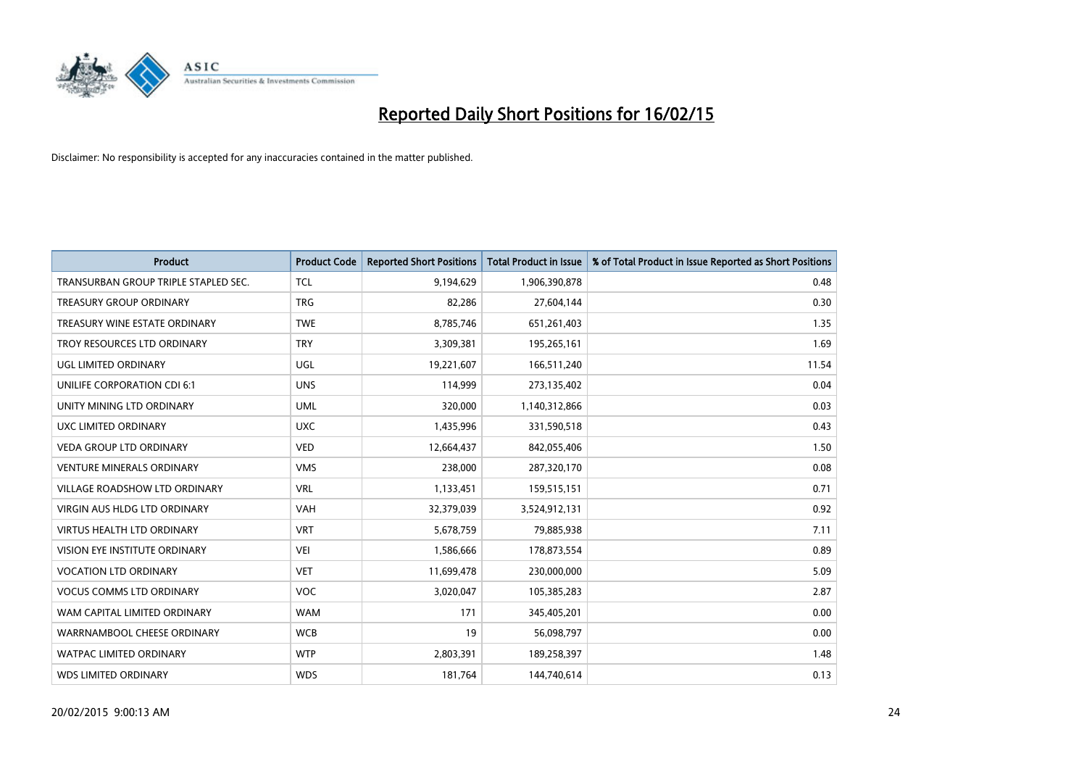

| <b>Product</b>                       | <b>Product Code</b> | <b>Reported Short Positions</b> | <b>Total Product in Issue</b> | % of Total Product in Issue Reported as Short Positions |
|--------------------------------------|---------------------|---------------------------------|-------------------------------|---------------------------------------------------------|
| TRANSURBAN GROUP TRIPLE STAPLED SEC. | <b>TCL</b>          | 9,194,629                       | 1,906,390,878                 | 0.48                                                    |
| <b>TREASURY GROUP ORDINARY</b>       | <b>TRG</b>          | 82,286                          | 27,604,144                    | 0.30                                                    |
| TREASURY WINE ESTATE ORDINARY        | <b>TWE</b>          | 8,785,746                       | 651,261,403                   | 1.35                                                    |
| TROY RESOURCES LTD ORDINARY          | <b>TRY</b>          | 3,309,381                       | 195,265,161                   | 1.69                                                    |
| <b>UGL LIMITED ORDINARY</b>          | UGL                 | 19,221,607                      | 166,511,240                   | 11.54                                                   |
| UNILIFE CORPORATION CDI 6:1          | <b>UNS</b>          | 114,999                         | 273,135,402                   | 0.04                                                    |
| UNITY MINING LTD ORDINARY            | <b>UML</b>          | 320,000                         | 1,140,312,866                 | 0.03                                                    |
| <b>UXC LIMITED ORDINARY</b>          | <b>UXC</b>          | 1,435,996                       | 331,590,518                   | 0.43                                                    |
| <b>VEDA GROUP LTD ORDINARY</b>       | <b>VED</b>          | 12,664,437                      | 842,055,406                   | 1.50                                                    |
| VENTURE MINERALS ORDINARY            | <b>VMS</b>          | 238,000                         | 287,320,170                   | 0.08                                                    |
| VILLAGE ROADSHOW LTD ORDINARY        | <b>VRL</b>          | 1,133,451                       | 159,515,151                   | 0.71                                                    |
| <b>VIRGIN AUS HLDG LTD ORDINARY</b>  | <b>VAH</b>          | 32,379,039                      | 3,524,912,131                 | 0.92                                                    |
| <b>VIRTUS HEALTH LTD ORDINARY</b>    | <b>VRT</b>          | 5,678,759                       | 79,885,938                    | 7.11                                                    |
| <b>VISION EYE INSTITUTE ORDINARY</b> | <b>VEI</b>          | 1,586,666                       | 178,873,554                   | 0.89                                                    |
| <b>VOCATION LTD ORDINARY</b>         | <b>VET</b>          | 11,699,478                      | 230,000,000                   | 5.09                                                    |
| <b>VOCUS COMMS LTD ORDINARY</b>      | <b>VOC</b>          | 3,020,047                       | 105,385,283                   | 2.87                                                    |
| WAM CAPITAL LIMITED ORDINARY         | <b>WAM</b>          | 171                             | 345,405,201                   | 0.00                                                    |
| WARRNAMBOOL CHEESE ORDINARY          | <b>WCB</b>          | 19                              | 56,098,797                    | 0.00                                                    |
| <b>WATPAC LIMITED ORDINARY</b>       | <b>WTP</b>          | 2,803,391                       | 189,258,397                   | 1.48                                                    |
| <b>WDS LIMITED ORDINARY</b>          | <b>WDS</b>          | 181,764                         | 144,740,614                   | 0.13                                                    |